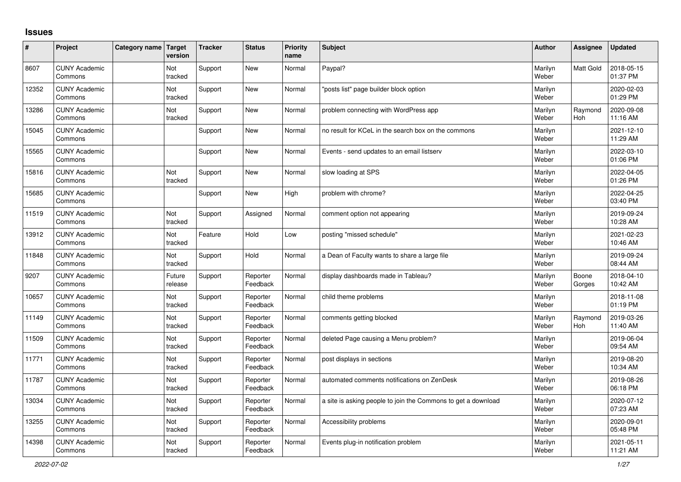## **Issues**

| #     | Project                         | Category name Target | version           | <b>Tracker</b> | <b>Status</b>        | <b>Priority</b><br>name | <b>Subject</b>                                                | Author           | Assignee        | <b>Updated</b>         |
|-------|---------------------------------|----------------------|-------------------|----------------|----------------------|-------------------------|---------------------------------------------------------------|------------------|-----------------|------------------------|
| 8607  | <b>CUNY Academic</b><br>Commons |                      | Not<br>tracked    | Support        | New                  | Normal                  | Paypal?                                                       | Marilyn<br>Weber | Matt Gold       | 2018-05-15<br>01:37 PM |
| 12352 | <b>CUNY Academic</b><br>Commons |                      | Not<br>tracked    | Support        | New                  | Normal                  | 'posts list" page builder block option                        | Marilyn<br>Weber |                 | 2020-02-03<br>01:29 PM |
| 13286 | <b>CUNY Academic</b><br>Commons |                      | Not<br>tracked    | Support        | <b>New</b>           | Normal                  | problem connecting with WordPress app                         | Marilyn<br>Weber | Raymond<br>Hoh  | 2020-09-08<br>11:16 AM |
| 15045 | <b>CUNY Academic</b><br>Commons |                      |                   | Support        | New                  | Normal                  | no result for KCeL in the search box on the commons           | Marilyn<br>Weber |                 | 2021-12-10<br>11:29 AM |
| 15565 | <b>CUNY Academic</b><br>Commons |                      |                   | Support        | <b>New</b>           | Normal                  | Events - send updates to an email listserv                    | Marilyn<br>Weber |                 | 2022-03-10<br>01:06 PM |
| 15816 | <b>CUNY Academic</b><br>Commons |                      | Not<br>tracked    | Support        | New                  | Normal                  | slow loading at SPS                                           | Marilyn<br>Weber |                 | 2022-04-05<br>01:26 PM |
| 15685 | <b>CUNY Academic</b><br>Commons |                      |                   | Support        | New                  | High                    | problem with chrome?                                          | Marilyn<br>Weber |                 | 2022-04-25<br>03:40 PM |
| 11519 | <b>CUNY Academic</b><br>Commons |                      | Not<br>tracked    | Support        | Assigned             | Normal                  | comment option not appearing                                  | Marilyn<br>Weber |                 | 2019-09-24<br>10:28 AM |
| 13912 | <b>CUNY Academic</b><br>Commons |                      | Not<br>tracked    | Feature        | Hold                 | Low                     | posting "missed schedule"                                     | Marilyn<br>Weber |                 | 2021-02-23<br>10:46 AM |
| 11848 | <b>CUNY Academic</b><br>Commons |                      | Not<br>tracked    | Support        | Hold                 | Normal                  | a Dean of Faculty wants to share a large file                 | Marilyn<br>Weber |                 | 2019-09-24<br>08:44 AM |
| 9207  | <b>CUNY Academic</b><br>Commons |                      | Future<br>release | Support        | Reporter<br>Feedback | Normal                  | display dashboards made in Tableau?                           | Marilyn<br>Weber | Boone<br>Gorges | 2018-04-10<br>10:42 AM |
| 10657 | <b>CUNY Academic</b><br>Commons |                      | Not<br>tracked    | Support        | Reporter<br>Feedback | Normal                  | child theme problems                                          | Marilyn<br>Weber |                 | 2018-11-08<br>01:19 PM |
| 11149 | <b>CUNY Academic</b><br>Commons |                      | Not<br>tracked    | Support        | Reporter<br>Feedback | Normal                  | comments getting blocked                                      | Marilyn<br>Weber | Raymond<br>Hoh  | 2019-03-26<br>11:40 AM |
| 11509 | <b>CUNY Academic</b><br>Commons |                      | Not<br>tracked    | Support        | Reporter<br>Feedback | Normal                  | deleted Page causing a Menu problem?                          | Marilyn<br>Weber |                 | 2019-06-04<br>09:54 AM |
| 11771 | <b>CUNY Academic</b><br>Commons |                      | Not<br>tracked    | Support        | Reporter<br>Feedback | Normal                  | post displays in sections                                     | Marilyn<br>Weber |                 | 2019-08-20<br>10:34 AM |
| 11787 | <b>CUNY Academic</b><br>Commons |                      | Not<br>tracked    | Support        | Reporter<br>Feedback | Normal                  | automated comments notifications on ZenDesk                   | Marilyn<br>Weber |                 | 2019-08-26<br>06:18 PM |
| 13034 | <b>CUNY Academic</b><br>Commons |                      | Not<br>tracked    | Support        | Reporter<br>Feedback | Normal                  | a site is asking people to join the Commons to get a download | Marilyn<br>Weber |                 | 2020-07-12<br>07:23 AM |
| 13255 | <b>CUNY Academic</b><br>Commons |                      | Not<br>tracked    | Support        | Reporter<br>Feedback | Normal                  | Accessibility problems                                        | Marilyn<br>Weber |                 | 2020-09-01<br>05:48 PM |
| 14398 | <b>CUNY Academic</b><br>Commons |                      | Not<br>tracked    | Support        | Reporter<br>Feedback | Normal                  | Events plug-in notification problem                           | Marilyn<br>Weber |                 | 2021-05-11<br>11:21 AM |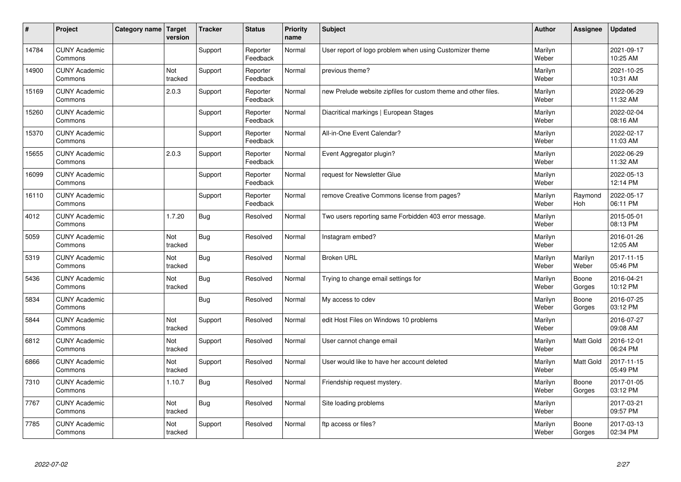| #     | Project                         | Category name   Target | version        | <b>Tracker</b> | <b>Status</b>        | <b>Priority</b><br>name | <b>Subject</b>                                                 | <b>Author</b>    | Assignee         | <b>Updated</b>         |
|-------|---------------------------------|------------------------|----------------|----------------|----------------------|-------------------------|----------------------------------------------------------------|------------------|------------------|------------------------|
| 14784 | <b>CUNY Academic</b><br>Commons |                        |                | Support        | Reporter<br>Feedback | Normal                  | User report of logo problem when using Customizer theme        | Marilyn<br>Weber |                  | 2021-09-17<br>10:25 AM |
| 14900 | <b>CUNY Academic</b><br>Commons |                        | Not<br>tracked | Support        | Reporter<br>Feedback | Normal                  | previous theme?                                                | Marilyn<br>Weber |                  | 2021-10-25<br>10:31 AM |
| 15169 | <b>CUNY Academic</b><br>Commons |                        | 2.0.3          | Support        | Reporter<br>Feedback | Normal                  | new Prelude website zipfiles for custom theme and other files. | Marilyn<br>Weber |                  | 2022-06-29<br>11:32 AM |
| 15260 | <b>CUNY Academic</b><br>Commons |                        |                | Support        | Reporter<br>Feedback | Normal                  | Diacritical markings   European Stages                         | Marilyn<br>Weber |                  | 2022-02-04<br>08:16 AM |
| 15370 | <b>CUNY Academic</b><br>Commons |                        |                | Support        | Reporter<br>Feedback | Normal                  | All-in-One Event Calendar?                                     | Marilyn<br>Weber |                  | 2022-02-17<br>11:03 AM |
| 15655 | <b>CUNY Academic</b><br>Commons |                        | 2.0.3          | Support        | Reporter<br>Feedback | Normal                  | Event Aggregator plugin?                                       | Marilyn<br>Weber |                  | 2022-06-29<br>11:32 AM |
| 16099 | <b>CUNY Academic</b><br>Commons |                        |                | Support        | Reporter<br>Feedback | Normal                  | request for Newsletter Glue                                    | Marilyn<br>Weber |                  | 2022-05-13<br>12:14 PM |
| 16110 | <b>CUNY Academic</b><br>Commons |                        |                | Support        | Reporter<br>Feedback | Normal                  | remove Creative Commons license from pages?                    | Marilyn<br>Weber | Raymond<br>Hoh   | 2022-05-17<br>06:11 PM |
| 4012  | <b>CUNY Academic</b><br>Commons |                        | 1.7.20         | <b>Bug</b>     | Resolved             | Normal                  | Two users reporting same Forbidden 403 error message.          | Marilyn<br>Weber |                  | 2015-05-01<br>08:13 PM |
| 5059  | <b>CUNY Academic</b><br>Commons |                        | Not<br>tracked | <b>Bug</b>     | Resolved             | Normal                  | Instagram embed?                                               | Marilyn<br>Weber |                  | 2016-01-26<br>12:05 AM |
| 5319  | <b>CUNY Academic</b><br>Commons |                        | Not<br>tracked | <b>Bug</b>     | Resolved             | Normal                  | <b>Broken URL</b>                                              | Marilyn<br>Weber | Marilyn<br>Weber | 2017-11-15<br>05:46 PM |
| 5436  | <b>CUNY Academic</b><br>Commons |                        | Not<br>tracked | <b>Bug</b>     | Resolved             | Normal                  | Trying to change email settings for                            | Marilyn<br>Weber | Boone<br>Gorges  | 2016-04-21<br>10:12 PM |
| 5834  | <b>CUNY Academic</b><br>Commons |                        |                | Bug            | Resolved             | Normal                  | My access to cdev                                              | Marilyn<br>Weber | Boone<br>Gorges  | 2016-07-25<br>03:12 PM |
| 5844  | <b>CUNY Academic</b><br>Commons |                        | Not<br>tracked | Support        | Resolved             | Normal                  | edit Host Files on Windows 10 problems                         | Marilyn<br>Weber |                  | 2016-07-27<br>09:08 AM |
| 6812  | <b>CUNY Academic</b><br>Commons |                        | Not<br>tracked | Support        | Resolved             | Normal                  | User cannot change email                                       | Marilyn<br>Weber | Matt Gold        | 2016-12-01<br>06:24 PM |
| 6866  | <b>CUNY Academic</b><br>Commons |                        | Not<br>tracked | Support        | Resolved             | Normal                  | User would like to have her account deleted                    | Marilyn<br>Weber | <b>Matt Gold</b> | 2017-11-15<br>05:49 PM |
| 7310  | <b>CUNY Academic</b><br>Commons |                        | 1.10.7         | <b>Bug</b>     | Resolved             | Normal                  | Friendship request mystery.                                    | Marilyn<br>Weber | Boone<br>Gorges  | 2017-01-05<br>03:12 PM |
| 7767  | <b>CUNY Academic</b><br>Commons |                        | Not<br>tracked | <b>Bug</b>     | Resolved             | Normal                  | Site loading problems                                          | Marilyn<br>Weber |                  | 2017-03-21<br>09:57 PM |
| 7785  | <b>CUNY Academic</b><br>Commons |                        | Not<br>tracked | Support        | Resolved             | Normal                  | ftp access or files?                                           | Marilyn<br>Weber | Boone<br>Gorges  | 2017-03-13<br>02:34 PM |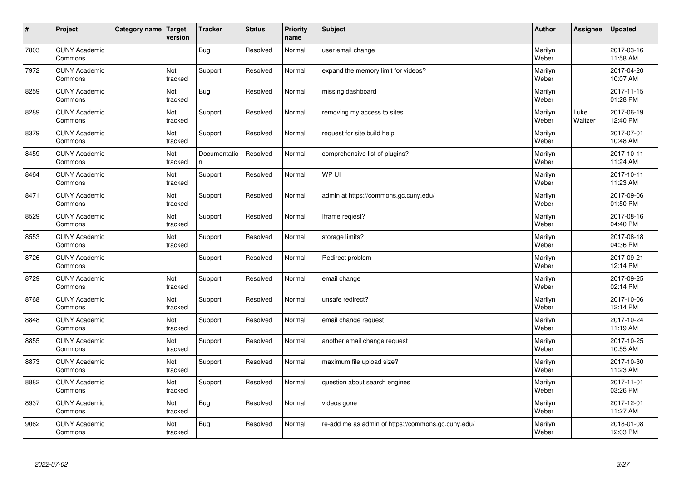| $\vert$ # | Project                         | Category name   Target | version        | <b>Tracker</b>    | <b>Status</b> | <b>Priority</b><br>name | <b>Subject</b>                                     | <b>Author</b>    | <b>Assignee</b> | <b>Updated</b>         |
|-----------|---------------------------------|------------------------|----------------|-------------------|---------------|-------------------------|----------------------------------------------------|------------------|-----------------|------------------------|
| 7803      | <b>CUNY Academic</b><br>Commons |                        |                | <b>Bug</b>        | Resolved      | Normal                  | user email change                                  | Marilyn<br>Weber |                 | 2017-03-16<br>11:58 AM |
| 7972      | <b>CUNY Academic</b><br>Commons |                        | Not<br>tracked | Support           | Resolved      | Normal                  | expand the memory limit for videos?                | Marilyn<br>Weber |                 | 2017-04-20<br>10:07 AM |
| 8259      | <b>CUNY Academic</b><br>Commons |                        | Not<br>tracked | <b>Bug</b>        | Resolved      | Normal                  | missing dashboard                                  | Marilyn<br>Weber |                 | 2017-11-15<br>01:28 PM |
| 8289      | <b>CUNY Academic</b><br>Commons |                        | Not<br>tracked | Support           | Resolved      | Normal                  | removing my access to sites                        | Marilyn<br>Weber | Luke<br>Waltzer | 2017-06-19<br>12:40 PM |
| 8379      | <b>CUNY Academic</b><br>Commons |                        | Not<br>tracked | Support           | Resolved      | Normal                  | request for site build help                        | Marilyn<br>Weber |                 | 2017-07-01<br>10:48 AM |
| 8459      | <b>CUNY Academic</b><br>Commons |                        | Not<br>tracked | Documentatio<br>n | Resolved      | Normal                  | comprehensive list of plugins?                     | Marilyn<br>Weber |                 | 2017-10-11<br>11:24 AM |
| 8464      | <b>CUNY Academic</b><br>Commons |                        | Not<br>tracked | Support           | Resolved      | Normal                  | WP UI                                              | Marilyn<br>Weber |                 | 2017-10-11<br>11:23 AM |
| 8471      | <b>CUNY Academic</b><br>Commons |                        | Not<br>tracked | Support           | Resolved      | Normal                  | admin at https://commons.gc.cuny.edu/              | Marilyn<br>Weber |                 | 2017-09-06<br>01:50 PM |
| 8529      | <b>CUNY Academic</b><br>Commons |                        | Not<br>tracked | Support           | Resolved      | Normal                  | Iframe regiest?                                    | Marilyn<br>Weber |                 | 2017-08-16<br>04:40 PM |
| 8553      | <b>CUNY Academic</b><br>Commons |                        | Not<br>tracked | Support           | Resolved      | Normal                  | storage limits?                                    | Marilyn<br>Weber |                 | 2017-08-18<br>04:36 PM |
| 8726      | <b>CUNY Academic</b><br>Commons |                        |                | Support           | Resolved      | Normal                  | Redirect problem                                   | Marilyn<br>Weber |                 | 2017-09-21<br>12:14 PM |
| 8729      | <b>CUNY Academic</b><br>Commons |                        | Not<br>tracked | Support           | Resolved      | Normal                  | email change                                       | Marilyn<br>Weber |                 | 2017-09-25<br>02:14 PM |
| 8768      | <b>CUNY Academic</b><br>Commons |                        | Not<br>tracked | Support           | Resolved      | Normal                  | unsafe redirect?                                   | Marilyn<br>Weber |                 | 2017-10-06<br>12:14 PM |
| 8848      | <b>CUNY Academic</b><br>Commons |                        | Not<br>tracked | Support           | Resolved      | Normal                  | email change request                               | Marilyn<br>Weber |                 | 2017-10-24<br>11:19 AM |
| 8855      | <b>CUNY Academic</b><br>Commons |                        | Not<br>tracked | Support           | Resolved      | Normal                  | another email change request                       | Marilyn<br>Weber |                 | 2017-10-25<br>10:55 AM |
| 8873      | <b>CUNY Academic</b><br>Commons |                        | Not<br>tracked | Support           | Resolved      | Normal                  | maximum file upload size?                          | Marilyn<br>Weber |                 | 2017-10-30<br>11:23 AM |
| 8882      | <b>CUNY Academic</b><br>Commons |                        | Not<br>tracked | Support           | Resolved      | Normal                  | question about search engines                      | Marilyn<br>Weber |                 | 2017-11-01<br>03:26 PM |
| 8937      | <b>CUNY Academic</b><br>Commons |                        | Not<br>tracked | <b>Bug</b>        | Resolved      | Normal                  | videos gone                                        | Marilyn<br>Weber |                 | 2017-12-01<br>11:27 AM |
| 9062      | <b>CUNY Academic</b><br>Commons |                        | Not<br>tracked | Bug               | Resolved      | Normal                  | re-add me as admin of https://commons.gc.cuny.edu/ | Marilyn<br>Weber |                 | 2018-01-08<br>12:03 PM |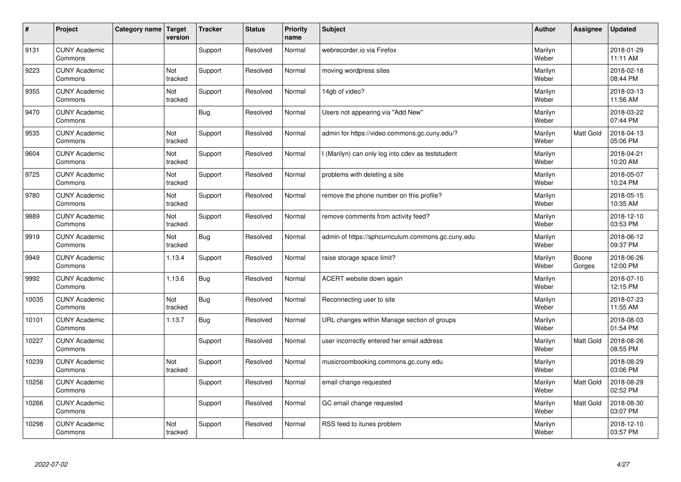| #     | Project                         | Category name   Target | version        | <b>Tracker</b> | <b>Status</b> | <b>Priority</b><br>name | <b>Subject</b>                                     | <b>Author</b>    | <b>Assignee</b>  | <b>Updated</b>         |
|-------|---------------------------------|------------------------|----------------|----------------|---------------|-------------------------|----------------------------------------------------|------------------|------------------|------------------------|
| 9131  | <b>CUNY Academic</b><br>Commons |                        |                | Support        | Resolved      | Normal                  | webrecorder.io via Firefox                         | Marilyn<br>Weber |                  | 2018-01-29<br>11:11 AM |
| 9223  | <b>CUNY Academic</b><br>Commons |                        | Not<br>tracked | Support        | Resolved      | Normal                  | moving wordpress sites                             | Marilyn<br>Weber |                  | 2018-02-18<br>08:44 PM |
| 9355  | <b>CUNY Academic</b><br>Commons |                        | Not<br>tracked | Support        | Resolved      | Normal                  | 14gb of video?                                     | Marilyn<br>Weber |                  | 2018-03-13<br>11:56 AM |
| 9470  | <b>CUNY Academic</b><br>Commons |                        |                | <b>Bug</b>     | Resolved      | Normal                  | Users not appearing via "Add New"                  | Marilyn<br>Weber |                  | 2018-03-22<br>07:44 PM |
| 9535  | <b>CUNY Academic</b><br>Commons |                        | Not<br>tracked | Support        | Resolved      | Normal                  | admin for https://video.commons.gc.cuny.edu/?      | Marilyn<br>Weber | <b>Matt Gold</b> | 2018-04-13<br>05:06 PM |
| 9604  | <b>CUNY Academic</b><br>Commons |                        | Not<br>tracked | Support        | Resolved      | Normal                  | (Marilyn) can only log into cdev as teststudent    | Marilyn<br>Weber |                  | 2018-04-21<br>10:20 AM |
| 9725  | <b>CUNY Academic</b><br>Commons |                        | Not<br>tracked | Support        | Resolved      | Normal                  | problems with deleting a site                      | Marilyn<br>Weber |                  | 2018-05-07<br>10:24 PM |
| 9780  | <b>CUNY Academic</b><br>Commons |                        | Not<br>tracked | Support        | Resolved      | Normal                  | remove the phone number on this profile?           | Marilyn<br>Weber |                  | 2018-05-15<br>10:35 AM |
| 9889  | <b>CUNY Academic</b><br>Commons |                        | Not<br>tracked | Support        | Resolved      | Normal                  | remove comments from activity feed?                | Marilyn<br>Weber |                  | 2018-12-10<br>03:53 PM |
| 9919  | <b>CUNY Academic</b><br>Commons |                        | Not<br>tracked | <b>Bug</b>     | Resolved      | Normal                  | admin of https://sphcurriculum.commons.gc.cuny.edu | Marilyn<br>Weber |                  | 2018-06-12<br>09:37 PM |
| 9949  | <b>CUNY Academic</b><br>Commons |                        | 1.13.4         | Support        | Resolved      | Normal                  | raise storage space limit?                         | Marilyn<br>Weber | Boone<br>Gorges  | 2018-06-26<br>12:00 PM |
| 9992  | <b>CUNY Academic</b><br>Commons |                        | 1.13.6         | Bug            | Resolved      | Normal                  | ACERT website down again                           | Marilyn<br>Weber |                  | 2018-07-10<br>12:15 PM |
| 10035 | <b>CUNY Academic</b><br>Commons |                        | Not<br>tracked | Bug            | Resolved      | Normal                  | Reconnecting user to site                          | Marilyn<br>Weber |                  | 2018-07-23<br>11:55 AM |
| 10101 | <b>CUNY Academic</b><br>Commons |                        | 1.13.7         | <b>Bug</b>     | Resolved      | Normal                  | URL changes within Manage section of groups        | Marilyn<br>Weber |                  | 2018-08-03<br>01:54 PM |
| 10227 | <b>CUNY Academic</b><br>Commons |                        |                | Support        | Resolved      | Normal                  | user incorrectly entered her email address         | Marilyn<br>Weber | Matt Gold        | 2018-08-26<br>08:55 PM |
| 10239 | <b>CUNY Academic</b><br>Commons |                        | Not<br>tracked | Support        | Resolved      | Normal                  | musicroombooking.commons.gc.cuny.edu               | Marilyn<br>Weber |                  | 2018-08-29<br>03:06 PM |
| 10256 | <b>CUNY Academic</b><br>Commons |                        |                | Support        | Resolved      | Normal                  | email change requested                             | Marilyn<br>Weber | Matt Gold        | 2018-08-29<br>02:52 PM |
| 10266 | <b>CUNY Academic</b><br>Commons |                        |                | Support        | Resolved      | Normal                  | GC email change requested                          | Marilyn<br>Weber | Matt Gold        | 2018-08-30<br>03:07 PM |
| 10298 | <b>CUNY Academic</b><br>Commons |                        | Not<br>tracked | Support        | Resolved      | Normal                  | RSS feed to itunes problem                         | Marilyn<br>Weber |                  | 2018-12-10<br>03:57 PM |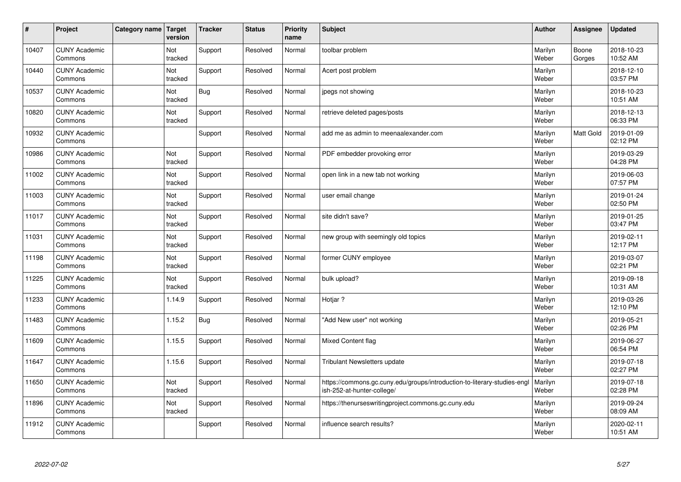| $\sharp$ | Project                         | Category name | Target<br>version | <b>Tracker</b> | <b>Status</b> | <b>Priority</b><br>name | <b>Subject</b>                                                                                         | <b>Author</b>    | Assignee        | <b>Updated</b>         |
|----------|---------------------------------|---------------|-------------------|----------------|---------------|-------------------------|--------------------------------------------------------------------------------------------------------|------------------|-----------------|------------------------|
| 10407    | <b>CUNY Academic</b><br>Commons |               | Not<br>tracked    | Support        | Resolved      | Normal                  | toolbar problem                                                                                        | Marilyn<br>Weber | Boone<br>Gorges | 2018-10-23<br>10:52 AM |
| 10440    | <b>CUNY Academic</b><br>Commons |               | Not<br>tracked    | Support        | Resolved      | Normal                  | Acert post problem                                                                                     | Marilyn<br>Weber |                 | 2018-12-10<br>03:57 PM |
| 10537    | <b>CUNY Academic</b><br>Commons |               | Not<br>tracked    | <b>Bug</b>     | Resolved      | Normal                  | jpegs not showing                                                                                      | Marilyn<br>Weber |                 | 2018-10-23<br>10:51 AM |
| 10820    | <b>CUNY Academic</b><br>Commons |               | Not<br>tracked    | Support        | Resolved      | Normal                  | retrieve deleted pages/posts                                                                           | Marilyn<br>Weber |                 | 2018-12-13<br>06:33 PM |
| 10932    | <b>CUNY Academic</b><br>Commons |               |                   | Support        | Resolved      | Normal                  | add me as admin to meenaalexander.com                                                                  | Marilyn<br>Weber | Matt Gold       | 2019-01-09<br>02:12 PM |
| 10986    | <b>CUNY Academic</b><br>Commons |               | Not<br>tracked    | Support        | Resolved      | Normal                  | PDF embedder provoking error                                                                           | Marilyn<br>Weber |                 | 2019-03-29<br>04:28 PM |
| 11002    | <b>CUNY Academic</b><br>Commons |               | Not<br>tracked    | Support        | Resolved      | Normal                  | open link in a new tab not working                                                                     | Marilyn<br>Weber |                 | 2019-06-03<br>07:57 PM |
| 11003    | <b>CUNY Academic</b><br>Commons |               | Not<br>tracked    | Support        | Resolved      | Normal                  | user email change                                                                                      | Marilyn<br>Weber |                 | 2019-01-24<br>02:50 PM |
| 11017    | <b>CUNY Academic</b><br>Commons |               | Not<br>tracked    | Support        | Resolved      | Normal                  | site didn't save?                                                                                      | Marilyn<br>Weber |                 | 2019-01-25<br>03:47 PM |
| 11031    | <b>CUNY Academic</b><br>Commons |               | Not<br>tracked    | Support        | Resolved      | Normal                  | new group with seemingly old topics                                                                    | Marilyn<br>Weber |                 | 2019-02-11<br>12:17 PM |
| 11198    | <b>CUNY Academic</b><br>Commons |               | Not<br>tracked    | Support        | Resolved      | Normal                  | former CUNY employee                                                                                   | Marilyn<br>Weber |                 | 2019-03-07<br>02:21 PM |
| 11225    | <b>CUNY Academic</b><br>Commons |               | Not<br>tracked    | Support        | Resolved      | Normal                  | bulk upload?                                                                                           | Marilyn<br>Weber |                 | 2019-09-18<br>10:31 AM |
| 11233    | <b>CUNY Academic</b><br>Commons |               | 1.14.9            | Support        | Resolved      | Normal                  | Hotiar?                                                                                                | Marilyn<br>Weber |                 | 2019-03-26<br>12:10 PM |
| 11483    | <b>CUNY Academic</b><br>Commons |               | 1.15.2            | Bug            | Resolved      | Normal                  | 'Add New user" not working                                                                             | Marilyn<br>Weber |                 | 2019-05-21<br>02:26 PM |
| 11609    | <b>CUNY Academic</b><br>Commons |               | 1.15.5            | Support        | Resolved      | Normal                  | <b>Mixed Content flag</b>                                                                              | Marilyn<br>Weber |                 | 2019-06-27<br>06:54 PM |
| 11647    | <b>CUNY Academic</b><br>Commons |               | 1.15.6            | Support        | Resolved      | Normal                  | Tribulant Newsletters update                                                                           | Marilyn<br>Weber |                 | 2019-07-18<br>02:27 PM |
| 11650    | <b>CUNY Academic</b><br>Commons |               | Not<br>tracked    | Support        | Resolved      | Normal                  | https://commons.gc.cuny.edu/groups/introduction-to-literary-studies-engl<br>ish-252-at-hunter-college/ | Marilyn<br>Weber |                 | 2019-07-18<br>02:28 PM |
| 11896    | <b>CUNY Academic</b><br>Commons |               | Not<br>tracked    | Support        | Resolved      | Normal                  | https://thenurseswritingproject.commons.gc.cuny.edu                                                    | Marilyn<br>Weber |                 | 2019-09-24<br>08:09 AM |
| 11912    | <b>CUNY Academic</b><br>Commons |               |                   | Support        | Resolved      | Normal                  | influence search results?                                                                              | Marilyn<br>Weber |                 | 2020-02-11<br>10:51 AM |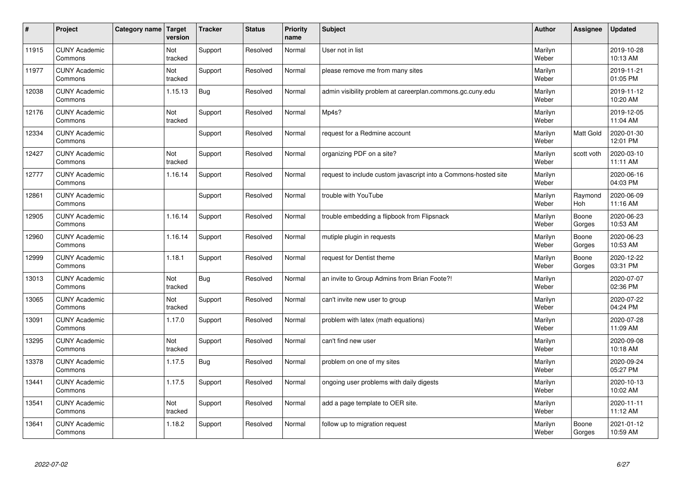| $\vert$ # | Project                         | Category name   Target | version        | <b>Tracker</b> | <b>Status</b> | <b>Priority</b><br>name | <b>Subject</b>                                                  | <b>Author</b>    | <b>Assignee</b>  | <b>Updated</b>         |
|-----------|---------------------------------|------------------------|----------------|----------------|---------------|-------------------------|-----------------------------------------------------------------|------------------|------------------|------------------------|
| 11915     | <b>CUNY Academic</b><br>Commons |                        | Not<br>tracked | Support        | Resolved      | Normal                  | User not in list                                                | Marilyn<br>Weber |                  | 2019-10-28<br>10:13 AM |
| 11977     | <b>CUNY Academic</b><br>Commons |                        | Not<br>tracked | Support        | Resolved      | Normal                  | please remove me from many sites                                | Marilyn<br>Weber |                  | 2019-11-21<br>01:05 PM |
| 12038     | <b>CUNY Academic</b><br>Commons |                        | 1.15.13        | <b>Bug</b>     | Resolved      | Normal                  | admin visibility problem at careerplan.commons.gc.cuny.edu      | Marilyn<br>Weber |                  | 2019-11-12<br>10:20 AM |
| 12176     | <b>CUNY Academic</b><br>Commons |                        | Not<br>tracked | Support        | Resolved      | Normal                  | Mp4s?                                                           | Marilyn<br>Weber |                  | 2019-12-05<br>11:04 AM |
| 12334     | <b>CUNY Academic</b><br>Commons |                        |                | Support        | Resolved      | Normal                  | request for a Redmine account                                   | Marilyn<br>Weber | <b>Matt Gold</b> | 2020-01-30<br>12:01 PM |
| 12427     | <b>CUNY Academic</b><br>Commons |                        | Not<br>tracked | Support        | Resolved      | Normal                  | organizing PDF on a site?                                       | Marilyn<br>Weber | scott voth       | 2020-03-10<br>11:11 AM |
| 12777     | <b>CUNY Academic</b><br>Commons |                        | 1.16.14        | Support        | Resolved      | Normal                  | request to include custom javascript into a Commons-hosted site | Marilyn<br>Weber |                  | 2020-06-16<br>04:03 PM |
| 12861     | <b>CUNY Academic</b><br>Commons |                        |                | Support        | Resolved      | Normal                  | trouble with YouTube                                            | Marilyn<br>Weber | Raymond<br>Hoh   | 2020-06-09<br>11:16 AM |
| 12905     | <b>CUNY Academic</b><br>Commons |                        | 1.16.14        | Support        | Resolved      | Normal                  | trouble embedding a flipbook from Flipsnack                     | Marilyn<br>Weber | Boone<br>Gorges  | 2020-06-23<br>10:53 AM |
| 12960     | <b>CUNY Academic</b><br>Commons |                        | 1.16.14        | Support        | Resolved      | Normal                  | mutiple plugin in requests                                      | Marilyn<br>Weber | Boone<br>Gorges  | 2020-06-23<br>10:53 AM |
| 12999     | <b>CUNY Academic</b><br>Commons |                        | 1.18.1         | Support        | Resolved      | Normal                  | request for Dentist theme                                       | Marilyn<br>Weber | Boone<br>Gorges  | 2020-12-22<br>03:31 PM |
| 13013     | <b>CUNY Academic</b><br>Commons |                        | Not<br>tracked | <b>Bug</b>     | Resolved      | Normal                  | an invite to Group Admins from Brian Foote?!                    | Marilyn<br>Weber |                  | 2020-07-07<br>02:36 PM |
| 13065     | <b>CUNY Academic</b><br>Commons |                        | Not<br>tracked | Support        | Resolved      | Normal                  | can't invite new user to group                                  | Marilyn<br>Weber |                  | 2020-07-22<br>04:24 PM |
| 13091     | <b>CUNY Academic</b><br>Commons |                        | 1.17.0         | Support        | Resolved      | Normal                  | problem with latex (math equations)                             | Marilyn<br>Weber |                  | 2020-07-28<br>11:09 AM |
| 13295     | <b>CUNY Academic</b><br>Commons |                        | Not<br>tracked | Support        | Resolved      | Normal                  | can't find new user                                             | Marilyn<br>Weber |                  | 2020-09-08<br>10:18 AM |
| 13378     | <b>CUNY Academic</b><br>Commons |                        | 1.17.5         | <b>Bug</b>     | Resolved      | Normal                  | problem on one of my sites                                      | Marilyn<br>Weber |                  | 2020-09-24<br>05:27 PM |
| 13441     | <b>CUNY Academic</b><br>Commons |                        | 1.17.5         | Support        | Resolved      | Normal                  | ongoing user problems with daily digests                        | Marilyn<br>Weber |                  | 2020-10-13<br>10:02 AM |
| 13541     | <b>CUNY Academic</b><br>Commons |                        | Not<br>tracked | Support        | Resolved      | Normal                  | add a page template to OER site.                                | Marilyn<br>Weber |                  | 2020-11-11<br>11:12 AM |
| 13641     | <b>CUNY Academic</b><br>Commons |                        | 1.18.2         | Support        | Resolved      | Normal                  | follow up to migration request                                  | Marilyn<br>Weber | Boone<br>Gorges  | 2021-01-12<br>10:59 AM |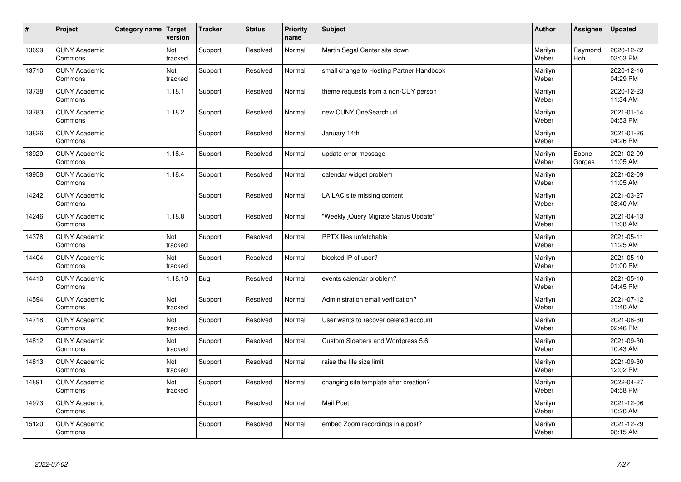| $\sharp$ | Project                         | Category name | Target<br>version | <b>Tracker</b> | <b>Status</b> | <b>Priority</b><br>name | <b>Subject</b>                           | <b>Author</b>    | Assignee        | <b>Updated</b>         |
|----------|---------------------------------|---------------|-------------------|----------------|---------------|-------------------------|------------------------------------------|------------------|-----------------|------------------------|
| 13699    | <b>CUNY Academic</b><br>Commons |               | Not<br>tracked    | Support        | Resolved      | Normal                  | Martin Segal Center site down            | Marilyn<br>Weber | Raymond<br>Hoh  | 2020-12-22<br>03:03 PM |
| 13710    | <b>CUNY Academic</b><br>Commons |               | Not<br>tracked    | Support        | Resolved      | Normal                  | small change to Hosting Partner Handbook | Marilyn<br>Weber |                 | 2020-12-16<br>04:29 PM |
| 13738    | <b>CUNY Academic</b><br>Commons |               | 1.18.1            | Support        | Resolved      | Normal                  | theme requests from a non-CUY person     | Marilyn<br>Weber |                 | 2020-12-23<br>11:34 AM |
| 13783    | <b>CUNY Academic</b><br>Commons |               | 1.18.2            | Support        | Resolved      | Normal                  | new CUNY OneSearch url                   | Marilyn<br>Weber |                 | 2021-01-14<br>04:53 PM |
| 13826    | <b>CUNY Academic</b><br>Commons |               |                   | Support        | Resolved      | Normal                  | January 14th                             | Marilyn<br>Weber |                 | 2021-01-26<br>04:26 PM |
| 13929    | <b>CUNY Academic</b><br>Commons |               | 1.18.4            | Support        | Resolved      | Normal                  | update error message                     | Marilyn<br>Weber | Boone<br>Gorges | 2021-02-09<br>11:05 AM |
| 13958    | <b>CUNY Academic</b><br>Commons |               | 1.18.4            | Support        | Resolved      | Normal                  | calendar widget problem                  | Marilyn<br>Weber |                 | 2021-02-09<br>11:05 AM |
| 14242    | <b>CUNY Academic</b><br>Commons |               |                   | Support        | Resolved      | Normal                  | LAILAC site missing content              | Marilyn<br>Weber |                 | 2021-03-27<br>08:40 AM |
| 14246    | <b>CUNY Academic</b><br>Commons |               | 1.18.8            | Support        | Resolved      | Normal                  | "Weekly jQuery Migrate Status Update"    | Marilyn<br>Weber |                 | 2021-04-13<br>11:08 AM |
| 14378    | <b>CUNY Academic</b><br>Commons |               | Not<br>tracked    | Support        | Resolved      | Normal                  | PPTX files unfetchable                   | Marilyn<br>Weber |                 | 2021-05-11<br>11:25 AM |
| 14404    | <b>CUNY Academic</b><br>Commons |               | Not<br>tracked    | Support        | Resolved      | Normal                  | blocked IP of user?                      | Marilyn<br>Weber |                 | 2021-05-10<br>01:00 PM |
| 14410    | <b>CUNY Academic</b><br>Commons |               | 1.18.10           | <b>Bug</b>     | Resolved      | Normal                  | events calendar problem?                 | Marilyn<br>Weber |                 | 2021-05-10<br>04:45 PM |
| 14594    | <b>CUNY Academic</b><br>Commons |               | Not<br>tracked    | Support        | Resolved      | Normal                  | Administration email verification?       | Marilyn<br>Weber |                 | 2021-07-12<br>11:40 AM |
| 14718    | <b>CUNY Academic</b><br>Commons |               | Not<br>tracked    | Support        | Resolved      | Normal                  | User wants to recover deleted account    | Marilyn<br>Weber |                 | 2021-08-30<br>02:46 PM |
| 14812    | <b>CUNY Academic</b><br>Commons |               | Not<br>tracked    | Support        | Resolved      | Normal                  | Custom Sidebars and Wordpress 5.6        | Marilyn<br>Weber |                 | 2021-09-30<br>10:43 AM |
| 14813    | <b>CUNY Academic</b><br>Commons |               | Not<br>tracked    | Support        | Resolved      | Normal                  | raise the file size limit                | Marilyn<br>Weber |                 | 2021-09-30<br>12:02 PM |
| 14891    | <b>CUNY Academic</b><br>Commons |               | Not<br>tracked    | Support        | Resolved      | Normal                  | changing site template after creation?   | Marilyn<br>Weber |                 | 2022-04-27<br>04:58 PM |
| 14973    | <b>CUNY Academic</b><br>Commons |               |                   | Support        | Resolved      | Normal                  | Mail Poet                                | Marilyn<br>Weber |                 | 2021-12-06<br>10:20 AM |
| 15120    | <b>CUNY Academic</b><br>Commons |               |                   | Support        | Resolved      | Normal                  | embed Zoom recordings in a post?         | Marilyn<br>Weber |                 | 2021-12-29<br>08:15 AM |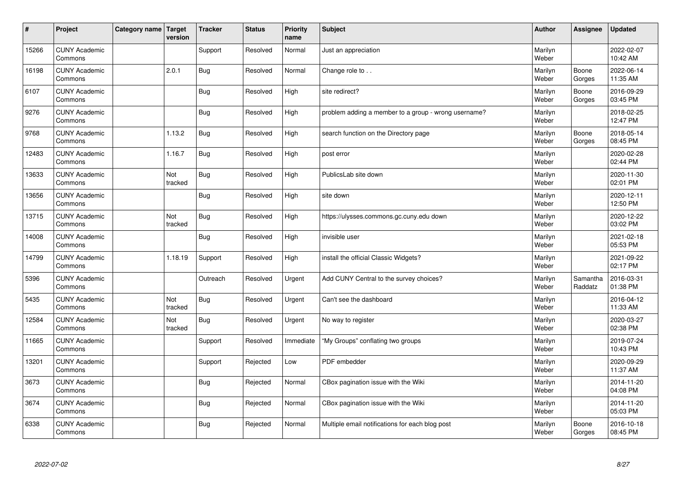| $\vert$ # | Project                         | Category name   Target | version        | <b>Tracker</b> | <b>Status</b> | <b>Priority</b><br>name | <b>Subject</b>                                       | <b>Author</b>    | <b>Assignee</b>     | <b>Updated</b>         |
|-----------|---------------------------------|------------------------|----------------|----------------|---------------|-------------------------|------------------------------------------------------|------------------|---------------------|------------------------|
| 15266     | <b>CUNY Academic</b><br>Commons |                        |                | Support        | Resolved      | Normal                  | Just an appreciation                                 | Marilyn<br>Weber |                     | 2022-02-07<br>10:42 AM |
| 16198     | <b>CUNY Academic</b><br>Commons |                        | 2.0.1          | <b>Bug</b>     | Resolved      | Normal                  | Change role to                                       | Marilyn<br>Weber | Boone<br>Gorges     | 2022-06-14<br>11:35 AM |
| 6107      | <b>CUNY Academic</b><br>Commons |                        |                | Bug            | Resolved      | High                    | site redirect?                                       | Marilyn<br>Weber | Boone<br>Gorges     | 2016-09-29<br>03:45 PM |
| 9276      | <b>CUNY Academic</b><br>Commons |                        |                | Bug            | Resolved      | High                    | problem adding a member to a group - wrong username? | Marilyn<br>Weber |                     | 2018-02-25<br>12:47 PM |
| 9768      | <b>CUNY Academic</b><br>Commons |                        | 1.13.2         | Bug            | Resolved      | High                    | search function on the Directory page                | Marilyn<br>Weber | Boone<br>Gorges     | 2018-05-14<br>08:45 PM |
| 12483     | <b>CUNY Academic</b><br>Commons |                        | 1.16.7         | Bug            | Resolved      | High                    | post error                                           | Marilyn<br>Weber |                     | 2020-02-28<br>02:44 PM |
| 13633     | <b>CUNY Academic</b><br>Commons |                        | Not<br>tracked | <b>Bug</b>     | Resolved      | High                    | PublicsLab site down                                 | Marilyn<br>Weber |                     | 2020-11-30<br>02:01 PM |
| 13656     | <b>CUNY Academic</b><br>Commons |                        |                | Bug            | Resolved      | High                    | site down                                            | Marilyn<br>Weber |                     | 2020-12-11<br>12:50 PM |
| 13715     | <b>CUNY Academic</b><br>Commons |                        | Not<br>tracked | <b>Bug</b>     | Resolved      | High                    | https://ulysses.commons.gc.cuny.edu down             | Marilyn<br>Weber |                     | 2020-12-22<br>03:02 PM |
| 14008     | <b>CUNY Academic</b><br>Commons |                        |                | <b>Bug</b>     | Resolved      | High                    | invisible user                                       | Marilyn<br>Weber |                     | 2021-02-18<br>05:53 PM |
| 14799     | <b>CUNY Academic</b><br>Commons |                        | 1.18.19        | Support        | Resolved      | High                    | install the official Classic Widgets?                | Marilyn<br>Weber |                     | 2021-09-22<br>02:17 PM |
| 5396      | <b>CUNY Academic</b><br>Commons |                        |                | Outreach       | Resolved      | Urgent                  | Add CUNY Central to the survey choices?              | Marilyn<br>Weber | Samantha<br>Raddatz | 2016-03-31<br>01:38 PM |
| 5435      | <b>CUNY Academic</b><br>Commons |                        | Not<br>tracked | Bug            | Resolved      | Urgent                  | Can't see the dashboard                              | Marilyn<br>Weber |                     | 2016-04-12<br>11:33 AM |
| 12584     | <b>CUNY Academic</b><br>Commons |                        | Not<br>tracked | <b>Bug</b>     | Resolved      | Urgent                  | No way to register                                   | Marilyn<br>Weber |                     | 2020-03-27<br>02:38 PM |
| 11665     | <b>CUNY Academic</b><br>Commons |                        |                | Support        | Resolved      | Immediate               | 'My Groups" conflating two groups                    | Marilyn<br>Weber |                     | 2019-07-24<br>10:43 PM |
| 13201     | <b>CUNY Academic</b><br>Commons |                        |                | Support        | Rejected      | Low                     | PDF embedder                                         | Marilyn<br>Weber |                     | 2020-09-29<br>11:37 AM |
| 3673      | <b>CUNY Academic</b><br>Commons |                        |                | <b>Bug</b>     | Rejected      | Normal                  | CBox pagination issue with the Wiki                  | Marilyn<br>Weber |                     | 2014-11-20<br>04:08 PM |
| 3674      | <b>CUNY Academic</b><br>Commons |                        |                | <b>Bug</b>     | Rejected      | Normal                  | CBox pagination issue with the Wiki                  | Marilyn<br>Weber |                     | 2014-11-20<br>05:03 PM |
| 6338      | <b>CUNY Academic</b><br>Commons |                        |                | <b>Bug</b>     | Rejected      | Normal                  | Multiple email notifications for each blog post      | Marilyn<br>Weber | Boone<br>Gorges     | 2016-10-18<br>08:45 PM |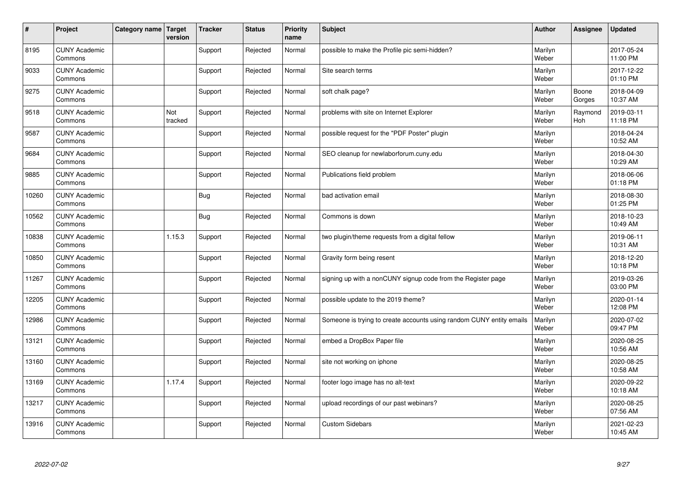| $\vert$ # | Project                         | Category name   Target | version        | <b>Tracker</b> | <b>Status</b> | <b>Priority</b><br>name | <b>Subject</b>                                                       | <b>Author</b>    | <b>Assignee</b> | <b>Updated</b>         |
|-----------|---------------------------------|------------------------|----------------|----------------|---------------|-------------------------|----------------------------------------------------------------------|------------------|-----------------|------------------------|
| 8195      | <b>CUNY Academic</b><br>Commons |                        |                | Support        | Rejected      | Normal                  | possible to make the Profile pic semi-hidden?                        | Marilyn<br>Weber |                 | 2017-05-24<br>11:00 PM |
| 9033      | <b>CUNY Academic</b><br>Commons |                        |                | Support        | Rejected      | Normal                  | Site search terms                                                    | Marilyn<br>Weber |                 | 2017-12-22<br>01:10 PM |
| 9275      | <b>CUNY Academic</b><br>Commons |                        |                | Support        | Rejected      | Normal                  | soft chalk page?                                                     | Marilyn<br>Weber | Boone<br>Gorges | 2018-04-09<br>10:37 AM |
| 9518      | <b>CUNY Academic</b><br>Commons |                        | Not<br>tracked | Support        | Rejected      | Normal                  | problems with site on Internet Explorer                              | Marilyn<br>Weber | Raymond<br>Hoh  | 2019-03-11<br>11:18 PM |
| 9587      | <b>CUNY Academic</b><br>Commons |                        |                | Support        | Rejected      | Normal                  | possible request for the "PDF Poster" plugin                         | Marilyn<br>Weber |                 | 2018-04-24<br>10:52 AM |
| 9684      | <b>CUNY Academic</b><br>Commons |                        |                | Support        | Rejected      | Normal                  | SEO cleanup for newlaborforum.cuny.edu                               | Marilyn<br>Weber |                 | 2018-04-30<br>10:29 AM |
| 9885      | <b>CUNY Academic</b><br>Commons |                        |                | Support        | Rejected      | Normal                  | Publications field problem                                           | Marilyn<br>Weber |                 | 2018-06-06<br>01:18 PM |
| 10260     | <b>CUNY Academic</b><br>Commons |                        |                | Bug            | Rejected      | Normal                  | bad activation email                                                 | Marilyn<br>Weber |                 | 2018-08-30<br>01:25 PM |
| 10562     | <b>CUNY Academic</b><br>Commons |                        |                | Bug            | Rejected      | Normal                  | Commons is down                                                      | Marilyn<br>Weber |                 | 2018-10-23<br>10:49 AM |
| 10838     | <b>CUNY Academic</b><br>Commons |                        | 1.15.3         | Support        | Rejected      | Normal                  | two plugin/theme requests from a digital fellow                      | Marilyn<br>Weber |                 | 2019-06-11<br>10:31 AM |
| 10850     | <b>CUNY Academic</b><br>Commons |                        |                | Support        | Rejected      | Normal                  | Gravity form being resent                                            | Marilyn<br>Weber |                 | 2018-12-20<br>10:18 PM |
| 11267     | <b>CUNY Academic</b><br>Commons |                        |                | Support        | Rejected      | Normal                  | signing up with a nonCUNY signup code from the Register page         | Marilyn<br>Weber |                 | 2019-03-26<br>03:00 PM |
| 12205     | <b>CUNY Academic</b><br>Commons |                        |                | Support        | Rejected      | Normal                  | possible update to the 2019 theme?                                   | Marilyn<br>Weber |                 | 2020-01-14<br>12:08 PM |
| 12986     | <b>CUNY Academic</b><br>Commons |                        |                | Support        | Rejected      | Normal                  | Someone is trying to create accounts using random CUNY entity emails | Marilyn<br>Weber |                 | 2020-07-02<br>09:47 PM |
| 13121     | <b>CUNY Academic</b><br>Commons |                        |                | Support        | Rejected      | Normal                  | embed a DropBox Paper file                                           | Marilyn<br>Weber |                 | 2020-08-25<br>10:56 AM |
| 13160     | <b>CUNY Academic</b><br>Commons |                        |                | Support        | Rejected      | Normal                  | site not working on iphone                                           | Marilyn<br>Weber |                 | 2020-08-25<br>10:58 AM |
| 13169     | <b>CUNY Academic</b><br>Commons |                        | 1.17.4         | Support        | Rejected      | Normal                  | footer logo image has no alt-text                                    | Marilyn<br>Weber |                 | 2020-09-22<br>10:18 AM |
| 13217     | <b>CUNY Academic</b><br>Commons |                        |                | Support        | Rejected      | Normal                  | upload recordings of our past webinars?                              | Marilyn<br>Weber |                 | 2020-08-25<br>07:56 AM |
| 13916     | <b>CUNY Academic</b><br>Commons |                        |                | Support        | Rejected      | Normal                  | <b>Custom Sidebars</b>                                               | Marilyn<br>Weber |                 | 2021-02-23<br>10:45 AM |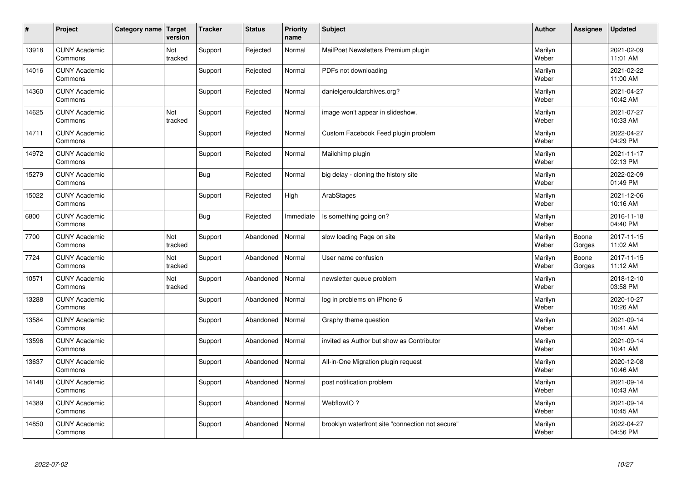| $\vert$ # | Project                         | Category name   Target | version        | <b>Tracker</b> | <b>Status</b> | <b>Priority</b><br>name | <b>Subject</b>                                   | <b>Author</b>    | <b>Assignee</b> | <b>Updated</b>         |
|-----------|---------------------------------|------------------------|----------------|----------------|---------------|-------------------------|--------------------------------------------------|------------------|-----------------|------------------------|
| 13918     | <b>CUNY Academic</b><br>Commons |                        | Not<br>tracked | Support        | Rejected      | Normal                  | MailPoet Newsletters Premium plugin              | Marilyn<br>Weber |                 | 2021-02-09<br>11:01 AM |
| 14016     | <b>CUNY Academic</b><br>Commons |                        |                | Support        | Rejected      | Normal                  | PDFs not downloading                             | Marilyn<br>Weber |                 | 2021-02-22<br>11:00 AM |
| 14360     | <b>CUNY Academic</b><br>Commons |                        |                | Support        | Rejected      | Normal                  | danielgerouldarchives.org?                       | Marilyn<br>Weber |                 | 2021-04-27<br>10:42 AM |
| 14625     | <b>CUNY Academic</b><br>Commons |                        | Not<br>tracked | Support        | Rejected      | Normal                  | image won't appear in slideshow.                 | Marilyn<br>Weber |                 | 2021-07-27<br>10:33 AM |
| 14711     | <b>CUNY Academic</b><br>Commons |                        |                | Support        | Rejected      | Normal                  | Custom Facebook Feed plugin problem              | Marilyn<br>Weber |                 | 2022-04-27<br>04:29 PM |
| 14972     | <b>CUNY Academic</b><br>Commons |                        |                | Support        | Rejected      | Normal                  | Mailchimp plugin                                 | Marilyn<br>Weber |                 | 2021-11-17<br>02:13 PM |
| 15279     | <b>CUNY Academic</b><br>Commons |                        |                | Bug            | Rejected      | Normal                  | big delay - cloning the history site             | Marilyn<br>Weber |                 | 2022-02-09<br>01:49 PM |
| 15022     | <b>CUNY Academic</b><br>Commons |                        |                | Support        | Rejected      | High                    | ArabStages                                       | Marilyn<br>Weber |                 | 2021-12-06<br>10:16 AM |
| 6800      | <b>CUNY Academic</b><br>Commons |                        |                | Bug            | Rejected      | Immediate               | Is something going on?                           | Marilyn<br>Weber |                 | 2016-11-18<br>04:40 PM |
| 7700      | <b>CUNY Academic</b><br>Commons |                        | Not<br>tracked | Support        | Abandoned     | Normal                  | slow loading Page on site                        | Marilyn<br>Weber | Boone<br>Gorges | 2017-11-15<br>11:02 AM |
| 7724      | <b>CUNY Academic</b><br>Commons |                        | Not<br>tracked | Support        | Abandoned     | Normal                  | User name confusion                              | Marilyn<br>Weber | Boone<br>Gorges | 2017-11-15<br>11:12 AM |
| 10571     | <b>CUNY Academic</b><br>Commons |                        | Not<br>tracked | Support        | Abandoned     | Normal                  | newsletter queue problem                         | Marilyn<br>Weber |                 | 2018-12-10<br>03:58 PM |
| 13288     | <b>CUNY Academic</b><br>Commons |                        |                | Support        | Abandoned     | Normal                  | log in problems on iPhone 6                      | Marilyn<br>Weber |                 | 2020-10-27<br>10:26 AM |
| 13584     | <b>CUNY Academic</b><br>Commons |                        |                | Support        | Abandoned     | Normal                  | Graphy theme question                            | Marilyn<br>Weber |                 | 2021-09-14<br>10:41 AM |
| 13596     | <b>CUNY Academic</b><br>Commons |                        |                | Support        | Abandoned     | Normal                  | invited as Author but show as Contributor        | Marilyn<br>Weber |                 | 2021-09-14<br>10:41 AM |
| 13637     | <b>CUNY Academic</b><br>Commons |                        |                | Support        | Abandoned     | Normal                  | All-in-One Migration plugin request              | Marilyn<br>Weber |                 | 2020-12-08<br>10:46 AM |
| 14148     | <b>CUNY Academic</b><br>Commons |                        |                | Support        | Abandoned     | Normal                  | post notification problem                        | Marilyn<br>Weber |                 | 2021-09-14<br>10:43 AM |
| 14389     | <b>CUNY Academic</b><br>Commons |                        |                | Support        | Abandoned     | Normal                  | WebflowIO?                                       | Marilyn<br>Weber |                 | 2021-09-14<br>10:45 AM |
| 14850     | <b>CUNY Academic</b><br>Commons |                        |                | Support        | Abandoned     | Normal                  | brooklyn waterfront site "connection not secure" | Marilyn<br>Weber |                 | 2022-04-27<br>04:56 PM |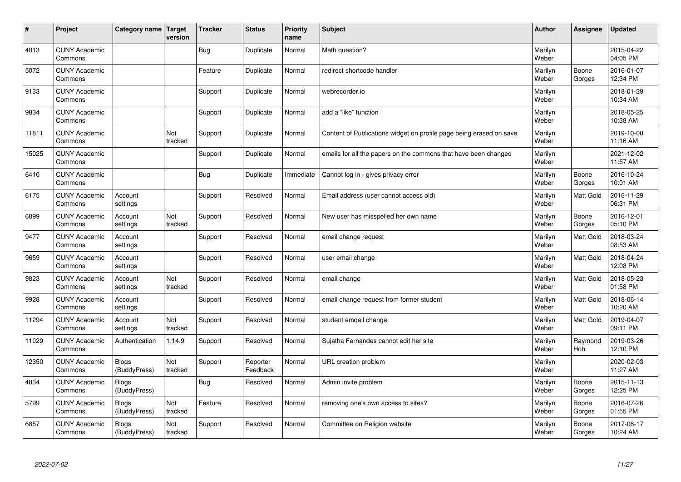| $\sharp$ | Project                         | Category name   Target       | version        | <b>Tracker</b> | <b>Status</b>        | <b>Priority</b><br>name | <b>Subject</b>                                                      | <b>Author</b>    | Assignee              | <b>Updated</b>         |
|----------|---------------------------------|------------------------------|----------------|----------------|----------------------|-------------------------|---------------------------------------------------------------------|------------------|-----------------------|------------------------|
| 4013     | <b>CUNY Academic</b><br>Commons |                              |                | Bug            | Duplicate            | Normal                  | Math question?                                                      | Marilyn<br>Weber |                       | 2015-04-22<br>04:05 PM |
| 5072     | <b>CUNY Academic</b><br>Commons |                              |                | Feature        | Duplicate            | Normal                  | redirect shortcode handler                                          | Marilyn<br>Weber | Boone<br>Gorges       | 2016-01-07<br>12:34 PM |
| 9133     | <b>CUNY Academic</b><br>Commons |                              |                | Support        | Duplicate            | Normal                  | webrecorder.jo                                                      | Marilyn<br>Weber |                       | 2018-01-29<br>10:34 AM |
| 9834     | <b>CUNY Academic</b><br>Commons |                              |                | Support        | Duplicate            | Normal                  | add a "like" function                                               | Marilyn<br>Weber |                       | 2018-05-25<br>10:38 AM |
| 11811    | <b>CUNY Academic</b><br>Commons |                              | Not<br>tracked | Support        | Duplicate            | Normal                  | Content of Publications widget on profile page being erased on save | Marilyn<br>Weber |                       | 2019-10-08<br>11:16 AM |
| 15025    | <b>CUNY Academic</b><br>Commons |                              |                | Support        | Duplicate            | Normal                  | emails for all the papers on the commons that have been changed     | Marilyn<br>Weber |                       | 2021-12-02<br>11:57 AM |
| 6410     | <b>CUNY Academic</b><br>Commons |                              |                | Bug            | Duplicate            | Immediate               | Cannot log in - gives privacy error                                 | Marilyn<br>Weber | Boone<br>Gorges       | 2016-10-24<br>10:01 AM |
| 6175     | <b>CUNY Academic</b><br>Commons | Account<br>settings          |                | Support        | Resolved             | Normal                  | Email address (user cannot access old)                              | Marilyn<br>Weber | Matt Gold             | 2016-11-29<br>06:31 PM |
| 6899     | <b>CUNY Academic</b><br>Commons | Account<br>settings          | Not<br>tracked | Support        | Resolved             | Normal                  | New user has misspelled her own name                                | Marilyn<br>Weber | Boone<br>Gorges       | 2016-12-01<br>05:10 PM |
| 9477     | <b>CUNY Academic</b><br>Commons | Account<br>settings          |                | Support        | Resolved             | Normal                  | email change request                                                | Marilyn<br>Weber | <b>Matt Gold</b>      | 2018-03-24<br>08:53 AM |
| 9659     | <b>CUNY Academic</b><br>Commons | Account<br>settings          |                | Support        | Resolved             | Normal                  | user email change                                                   | Marilyn<br>Weber | <b>Matt Gold</b>      | 2018-04-24<br>12:08 PM |
| 9823     | <b>CUNY Academic</b><br>Commons | Account<br>settings          | Not<br>tracked | Support        | Resolved             | Normal                  | email change                                                        | Marilyn<br>Weber | Matt Gold             | 2018-05-23<br>01:58 PM |
| 9928     | <b>CUNY Academic</b><br>Commons | Account<br>settings          |                | Support        | Resolved             | Normal                  | email change request from former student                            | Marilyn<br>Weber | <b>Matt Gold</b>      | 2018-06-14<br>10:20 AM |
| 11294    | <b>CUNY Academic</b><br>Commons | Account<br>settings          | Not<br>tracked | Support        | Resolved             | Normal                  | student emgail change                                               | Marilyn<br>Weber | Matt Gold             | 2019-04-07<br>09:11 PM |
| 11029    | <b>CUNY Academic</b><br>Commons | Authentication               | 1.14.9         | Support        | Resolved             | Normal                  | Sujatha Fernandes cannot edit her site                              | Marilyn<br>Weber | Raymond<br><b>Hoh</b> | 2019-03-26<br>12:10 PM |
| 12350    | <b>CUNY Academic</b><br>Commons | <b>Blogs</b><br>(BuddyPress) | Not<br>tracked | Support        | Reporter<br>Feedback | Normal                  | URL creation problem                                                | Marilyn<br>Weber |                       | 2020-02-03<br>11:27 AM |
| 4834     | <b>CUNY Academic</b><br>Commons | Blogs<br>(BuddyPress)        |                | Bug            | Resolved             | Normal                  | Admin invite problem                                                | Marilyn<br>Weber | Boone<br>Gorges       | 2015-11-13<br>12:25 PM |
| 5799     | <b>CUNY Academic</b><br>Commons | <b>Blogs</b><br>(BuddyPress) | Not<br>tracked | Feature        | Resolved             | Normal                  | removing one's own access to sites?                                 | Marilyn<br>Weber | Boone<br>Gorges       | 2016-07-26<br>01:55 PM |
| 6857     | <b>CUNY Academic</b><br>Commons | Blogs<br>(BuddyPress)        | Not<br>tracked | Support        | Resolved             | Normal                  | Committee on Religion website                                       | Marilyn<br>Weber | Boone<br>Gorges       | 2017-08-17<br>10:24 AM |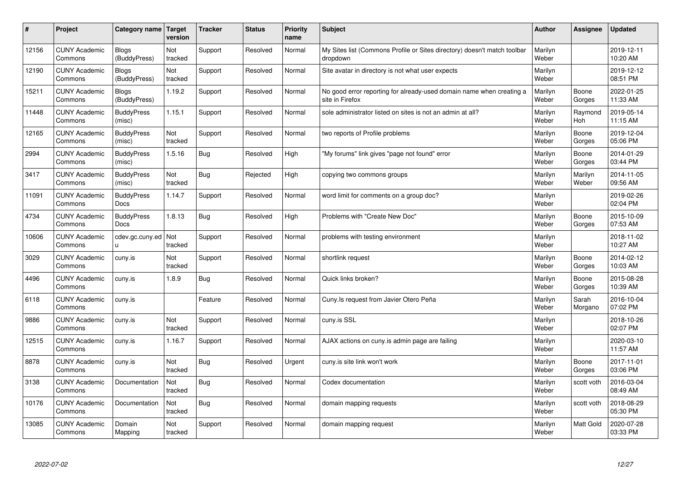| $\sharp$ | Project                         | Category name   Target           | version        | <b>Tracker</b> | <b>Status</b> | <b>Priority</b><br>name | <b>Subject</b>                                                                          | <b>Author</b>    | Assignee              | Updated                |
|----------|---------------------------------|----------------------------------|----------------|----------------|---------------|-------------------------|-----------------------------------------------------------------------------------------|------------------|-----------------------|------------------------|
| 12156    | <b>CUNY Academic</b><br>Commons | <b>Blogs</b><br>(BuddyPress)     | Not<br>tracked | Support        | Resolved      | Normal                  | My Sites list (Commons Profile or Sites directory) doesn't match toolbar<br>dropdown    | Marilyn<br>Weber |                       | 2019-12-11<br>10:20 AM |
| 12190    | <b>CUNY Academic</b><br>Commons | Blogs<br>(BuddyPress)            | Not<br>tracked | Support        | Resolved      | Normal                  | Site avatar in directory is not what user expects                                       | Marilyn<br>Weber |                       | 2019-12-12<br>08:51 PM |
| 15211    | <b>CUNY Academic</b><br>Commons | Blogs<br>(BuddyPress)            | 1.19.2         | Support        | Resolved      | Normal                  | No good error reporting for already-used domain name when creating a<br>site in Firefox | Marilyn<br>Weber | Boone<br>Gorges       | 2022-01-25<br>11:33 AM |
| 11448    | <b>CUNY Academic</b><br>Commons | <b>BuddyPress</b><br>(misc)      | 1.15.1         | Support        | Resolved      | Normal                  | sole administrator listed on sites is not an admin at all?                              | Marilyn<br>Weber | Raymond<br><b>Hoh</b> | 2019-05-14<br>11:15 AM |
| 12165    | <b>CUNY Academic</b><br>Commons | <b>BuddyPress</b><br>(misc)      | Not<br>tracked | Support        | Resolved      | Normal                  | two reports of Profile problems                                                         | Marilyn<br>Weber | Boone<br>Gorges       | 2019-12-04<br>05:06 PM |
| 2994     | <b>CUNY Academic</b><br>Commons | <b>BuddyPress</b><br>(misc)      | 1.5.16         | <b>Bug</b>     | Resolved      | High                    | "My forums" link gives "page not found" error                                           | Marilyn<br>Weber | Boone<br>Gorges       | 2014-01-29<br>03:44 PM |
| 3417     | <b>CUNY Academic</b><br>Commons | <b>BuddyPress</b><br>(misc)      | Not<br>tracked | Bug            | Rejected      | High                    | copying two commons groups                                                              | Marilyn<br>Weber | Marilyn<br>Weber      | 2014-11-05<br>09:56 AM |
| 11091    | <b>CUNY Academic</b><br>Commons | <b>BuddyPress</b><br>Docs        | 1.14.7         | Support        | Resolved      | Normal                  | word limit for comments on a group doc?                                                 | Marilyn<br>Weber |                       | 2019-02-26<br>02:04 PM |
| 4734     | <b>CUNY Academic</b><br>Commons | <b>BuddyPress</b><br><b>Docs</b> | 1.8.13         | Bug            | Resolved      | High                    | Problems with "Create New Doc"                                                          | Marilyn<br>Weber | Boone<br>Gorges       | 2015-10-09<br>07:53 AM |
| 10606    | <b>CUNY Academic</b><br>Commons | cdev.gc.cuny.ed<br>u.            | Not<br>tracked | Support        | Resolved      | Normal                  | problems with testing environment                                                       | Marilyn<br>Weber |                       | 2018-11-02<br>10:27 AM |
| 3029     | <b>CUNY Academic</b><br>Commons | cuny.is                          | Not<br>tracked | Support        | Resolved      | Normal                  | shortlink request                                                                       | Marilyn<br>Weber | Boone<br>Gorges       | 2014-02-12<br>10:03 AM |
| 4496     | <b>CUNY Academic</b><br>Commons | cuny.is                          | 1.8.9          | Bug            | Resolved      | Normal                  | Quick links broken?                                                                     | Marilyn<br>Weber | Boone<br>Gorges       | 2015-08-28<br>10:39 AM |
| 6118     | <b>CUNY Academic</b><br>Commons | cuny.is                          |                | Feature        | Resolved      | Normal                  | Cuny. Is request from Javier Otero Peña                                                 | Marilyn<br>Weber | Sarah<br>Morgano      | 2016-10-04<br>07:02 PM |
| 9886     | <b>CUNY Academic</b><br>Commons | cuny.is                          | Not<br>tracked | Support        | Resolved      | Normal                  | cuny.is SSL                                                                             | Marilyn<br>Weber |                       | 2018-10-26<br>02:07 PM |
| 12515    | <b>CUNY Academic</b><br>Commons | cuny.is                          | 1.16.7         | Support        | Resolved      | Normal                  | AJAX actions on cuny.is admin page are failing                                          | Marilyn<br>Weber |                       | 2020-03-10<br>11:57 AM |
| 8878     | <b>CUNY Academic</b><br>Commons | cuny.is                          | Not<br>tracked | Bug            | Resolved      | Urgent                  | cuny is site link won't work                                                            | Marilyn<br>Weber | Boone<br>Gorges       | 2017-11-01<br>03:06 PM |
| 3138     | <b>CUNY Academic</b><br>Commons | Documentation                    | Not<br>tracked | Bug            | Resolved      | Normal                  | Codex documentation                                                                     | Marilyn<br>Weber | scott voth            | 2016-03-04<br>08:49 AM |
| 10176    | <b>CUNY Academic</b><br>Commons | Documentation                    | Not<br>tracked | Bug            | Resolved      | Normal                  | domain mapping requests                                                                 | Marilyn<br>Weber | scott voth            | 2018-08-29<br>05:30 PM |
| 13085    | <b>CUNY Academic</b><br>Commons | Domain<br>Mapping                | Not<br>tracked | Support        | Resolved      | Normal                  | domain mapping request                                                                  | Marilyn<br>Weber | <b>Matt Gold</b>      | 2020-07-28<br>03:33 PM |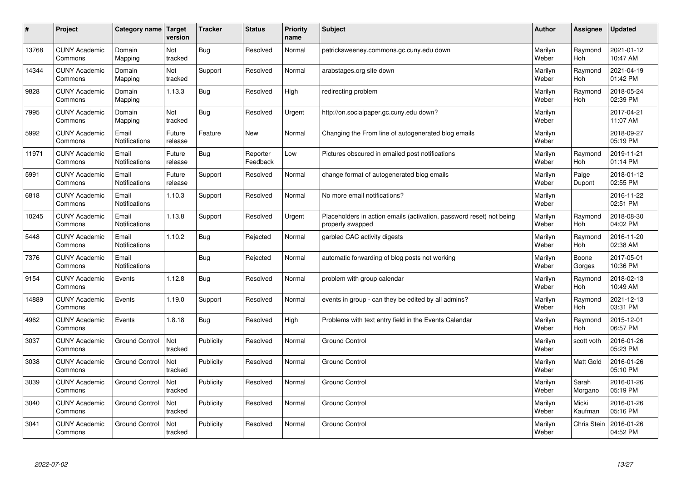| $\pmb{\#}$ | Project                         | Category name                 | Target<br>version     | <b>Tracker</b> | <b>Status</b>        | <b>Priority</b><br>name | <b>Subject</b>                                                                           | <b>Author</b>    | Assignee              | Updated                |
|------------|---------------------------------|-------------------------------|-----------------------|----------------|----------------------|-------------------------|------------------------------------------------------------------------------------------|------------------|-----------------------|------------------------|
| 13768      | <b>CUNY Academic</b><br>Commons | Domain<br>Mapping             | Not<br>tracked        | Bug            | Resolved             | Normal                  | patricksweeney.commons.gc.cuny.edu down                                                  | Marilyn<br>Weber | Raymond<br><b>Hoh</b> | 2021-01-12<br>10:47 AM |
| 14344      | <b>CUNY Academic</b><br>Commons | Domain<br>Mapping             | Not<br>tracked        | Support        | Resolved             | Normal                  | arabstages.org site down                                                                 | Marilyn<br>Weber | Raymond<br>Hoh        | 2021-04-19<br>01:42 PM |
| 9828       | <b>CUNY Academic</b><br>Commons | Domain<br>Mapping             | 1.13.3                | <b>Bug</b>     | Resolved             | High                    | redirecting problem                                                                      | Marilyn<br>Weber | Raymond<br><b>Hoh</b> | 2018-05-24<br>02:39 PM |
| 7995       | <b>CUNY Academic</b><br>Commons | Domain<br>Mapping             | <b>Not</b><br>tracked | <b>Bug</b>     | Resolved             | Urgent                  | http://on.socialpaper.gc.cuny.edu down?                                                  | Marilyn<br>Weber |                       | 2017-04-21<br>11:07 AM |
| 5992       | <b>CUNY Academic</b><br>Commons | Email<br>Notifications        | Future<br>release     | Feature        | <b>New</b>           | Normal                  | Changing the From line of autogenerated blog emails                                      | Marilyn<br>Weber |                       | 2018-09-27<br>05:19 PM |
| 11971      | <b>CUNY Academic</b><br>Commons | Email<br>Notifications        | Future<br>release     | Bug            | Reporter<br>Feedback | Low                     | Pictures obscured in emailed post notifications                                          | Marilyn<br>Weber | Raymond<br><b>Hoh</b> | 2019-11-21<br>01:14 PM |
| 5991       | <b>CUNY Academic</b><br>Commons | Email<br>Notifications        | Future<br>release     | Support        | Resolved             | Normal                  | change format of autogenerated blog emails                                               | Marilyn<br>Weber | Paige<br>Dupont       | 2018-01-12<br>02:55 PM |
| 6818       | <b>CUNY Academic</b><br>Commons | Email<br><b>Notifications</b> | 1.10.3                | Support        | Resolved             | Normal                  | No more email notifications?                                                             | Marilyn<br>Weber |                       | 2016-11-22<br>02:51 PM |
| 10245      | <b>CUNY Academic</b><br>Commons | Email<br>Notifications        | 1.13.8                | Support        | Resolved             | Urgent                  | Placeholders in action emails (activation, password reset) not being<br>properly swapped | Marilyn<br>Weber | Raymond<br><b>Hoh</b> | 2018-08-30<br>04:02 PM |
| 5448       | <b>CUNY Academic</b><br>Commons | Email<br><b>Notifications</b> | 1.10.2                | Bug            | Rejected             | Normal                  | garbled CAC activity digests                                                             | Marilyn<br>Weber | Raymond<br>Hoh        | 2016-11-20<br>02:38 AM |
| 7376       | <b>CUNY Academic</b><br>Commons | Email<br>Notifications        |                       | <b>Bug</b>     | Rejected             | Normal                  | automatic forwarding of blog posts not working                                           | Marilyn<br>Weber | Boone<br>Gorges       | 2017-05-01<br>10:36 PM |
| 9154       | <b>CUNY Academic</b><br>Commons | Events                        | 1.12.8                | Bug            | Resolved             | Normal                  | problem with group calendar                                                              | Marilyn<br>Weber | Raymond<br>Hoh        | 2018-02-13<br>10:49 AM |
| 14889      | <b>CUNY Academic</b><br>Commons | Events                        | 1.19.0                | Support        | Resolved             | Normal                  | events in group - can they be edited by all admins?                                      | Marilyn<br>Weber | Raymond<br>Hoh        | 2021-12-13<br>03:31 PM |
| 4962       | <b>CUNY Academic</b><br>Commons | Events                        | 1.8.18                | Bug            | Resolved             | High                    | Problems with text entry field in the Events Calendar                                    | Marilyn<br>Weber | Raymond<br><b>Hoh</b> | 2015-12-01<br>06:57 PM |
| 3037       | <b>CUNY Academic</b><br>Commons | <b>Ground Control</b>         | Not<br>tracked        | Publicity      | Resolved             | Normal                  | <b>Ground Control</b>                                                                    | Marilyn<br>Weber | scott voth            | 2016-01-26<br>05:23 PM |
| 3038       | <b>CUNY Academic</b><br>Commons | <b>Ground Control</b>         | Not<br>tracked        | Publicity      | Resolved             | Normal                  | <b>Ground Control</b>                                                                    | Marilyn<br>Weber | <b>Matt Gold</b>      | 2016-01-26<br>05:10 PM |
| 3039       | <b>CUNY Academic</b><br>Commons | <b>Ground Control</b>         | Not<br>tracked        | Publicity      | Resolved             | Normal                  | <b>Ground Control</b>                                                                    | Marilyn<br>Weber | Sarah<br>Morgano      | 2016-01-26<br>05:19 PM |
| 3040       | <b>CUNY Academic</b><br>Commons | <b>Ground Control</b>         | Not<br>tracked        | Publicity      | Resolved             | Normal                  | <b>Ground Control</b>                                                                    | Marilyn<br>Weber | Micki<br>Kaufman      | 2016-01-26<br>05:16 PM |
| 3041       | <b>CUNY Academic</b><br>Commons | <b>Ground Control</b>         | Not<br>tracked        | Publicity      | Resolved             | Normal                  | <b>Ground Control</b>                                                                    | Marilyn<br>Weber | <b>Chris Stein</b>    | 2016-01-26<br>04:52 PM |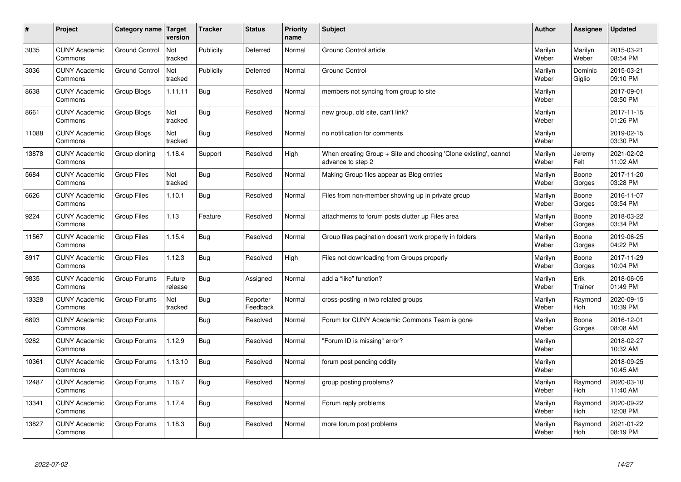| $\sharp$ | Project                         | Category name   Target | version           | <b>Tracker</b> | <b>Status</b>        | <b>Priority</b><br>name | <b>Subject</b>                                                                        | <b>Author</b>    | Assignee          | <b>Updated</b>         |
|----------|---------------------------------|------------------------|-------------------|----------------|----------------------|-------------------------|---------------------------------------------------------------------------------------|------------------|-------------------|------------------------|
| 3035     | <b>CUNY Academic</b><br>Commons | <b>Ground Control</b>  | Not<br>tracked    | Publicity      | Deferred             | Normal                  | <b>Ground Control article</b>                                                         | Marilyn<br>Weber | Marilyn<br>Weber  | 2015-03-21<br>08:54 PM |
| 3036     | <b>CUNY Academic</b><br>Commons | <b>Ground Control</b>  | Not<br>tracked    | Publicity      | Deferred             | Normal                  | <b>Ground Control</b>                                                                 | Marilyn<br>Weber | Dominic<br>Giglio | 2015-03-21<br>09:10 PM |
| 8638     | <b>CUNY Academic</b><br>Commons | Group Blogs            | 1.11.11           | Bug            | Resolved             | Normal                  | members not syncing from group to site                                                | Marilyn<br>Weber |                   | 2017-09-01<br>03:50 PM |
| 8661     | <b>CUNY Academic</b><br>Commons | Group Blogs            | Not<br>tracked    | <b>Bug</b>     | Resolved             | Normal                  | new group, old site, can't link?                                                      | Marilyn<br>Weber |                   | 2017-11-15<br>01:26 PM |
| 11088    | <b>CUNY Academic</b><br>Commons | Group Blogs            | Not<br>tracked    | Bug            | Resolved             | Normal                  | no notification for comments                                                          | Marilyn<br>Weber |                   | 2019-02-15<br>03:30 PM |
| 13878    | <b>CUNY Academic</b><br>Commons | Group cloning          | 1.18.4            | Support        | Resolved             | High                    | When creating Group + Site and choosing 'Clone existing', cannot<br>advance to step 2 | Marilyn<br>Weber | Jeremy<br>Felt    | 2021-02-02<br>11:02 AM |
| 5684     | <b>CUNY Academic</b><br>Commons | <b>Group Files</b>     | Not<br>tracked    | <b>Bug</b>     | Resolved             | Normal                  | Making Group files appear as Blog entries                                             | Marilyn<br>Weber | Boone<br>Gorges   | 2017-11-20<br>03:28 PM |
| 6626     | <b>CUNY Academic</b><br>Commons | Group Files            | 1.10.1            | <b>Bug</b>     | Resolved             | Normal                  | Files from non-member showing up in private group                                     | Marilyn<br>Weber | Boone<br>Gorges   | 2016-11-07<br>03:54 PM |
| 9224     | <b>CUNY Academic</b><br>Commons | <b>Group Files</b>     | 1.13              | Feature        | Resolved             | Normal                  | attachments to forum posts clutter up Files area                                      | Marilyn<br>Weber | Boone<br>Gorges   | 2018-03-22<br>03:34 PM |
| 11567    | <b>CUNY Academic</b><br>Commons | <b>Group Files</b>     | 1.15.4            | Bug            | Resolved             | Normal                  | Group files pagination doesn't work properly in folders                               | Marilyn<br>Weber | Boone<br>Gorges   | 2019-06-25<br>04:22 PM |
| 8917     | <b>CUNY Academic</b><br>Commons | Group Files            | 1.12.3            | Bug            | Resolved             | High                    | Files not downloading from Groups properly                                            | Marilyn<br>Weber | Boone<br>Gorges   | 2017-11-29<br>10:04 PM |
| 9835     | <b>CUNY Academic</b><br>Commons | Group Forums           | Future<br>release | <b>Bug</b>     | Assigned             | Normal                  | add a "like" function?                                                                | Marilyn<br>Weber | Erik<br>Trainer   | 2018-06-05<br>01:49 PM |
| 13328    | <b>CUNY Academic</b><br>Commons | Group Forums           | Not<br>tracked    | Bug            | Reporter<br>Feedback | Normal                  | cross-posting in two related groups                                                   | Marilyn<br>Weber | Raymond<br>Hoh    | 2020-09-15<br>10:39 PM |
| 6893     | <b>CUNY Academic</b><br>Commons | Group Forums           |                   | <b>Bug</b>     | Resolved             | Normal                  | Forum for CUNY Academic Commons Team is gone                                          | Marilyn<br>Weber | Boone<br>Gorges   | 2016-12-01<br>08:08 AM |
| 9282     | <b>CUNY Academic</b><br>Commons | Group Forums           | 1.12.9            | Bug            | Resolved             | Normal                  | "Forum ID is missing" error?                                                          | Marilyn<br>Weber |                   | 2018-02-27<br>10:32 AM |
| 10361    | <b>CUNY Academic</b><br>Commons | Group Forums           | 1.13.10           | Bug            | Resolved             | Normal                  | forum post pending oddity                                                             | Marilyn<br>Weber |                   | 2018-09-25<br>10:45 AM |
| 12487    | <b>CUNY Academic</b><br>Commons | Group Forums           | 1.16.7            | <b>Bug</b>     | Resolved             | Normal                  | group posting problems?                                                               | Marilyn<br>Weber | Raymond<br>Hoh    | 2020-03-10<br>11:40 AM |
| 13341    | <b>CUNY Academic</b><br>Commons | Group Forums           | 1.17.4            | Bug            | Resolved             | Normal                  | Forum reply problems                                                                  | Marilyn<br>Weber | Raymond<br>Hoh    | 2020-09-22<br>12:08 PM |
| 13827    | <b>CUNY Academic</b><br>Commons | Group Forums           | 1.18.3            | Bug            | Resolved             | Normal                  | more forum post problems                                                              | Marilyn<br>Weber | Raymond<br>Hoh    | 2021-01-22<br>08:19 PM |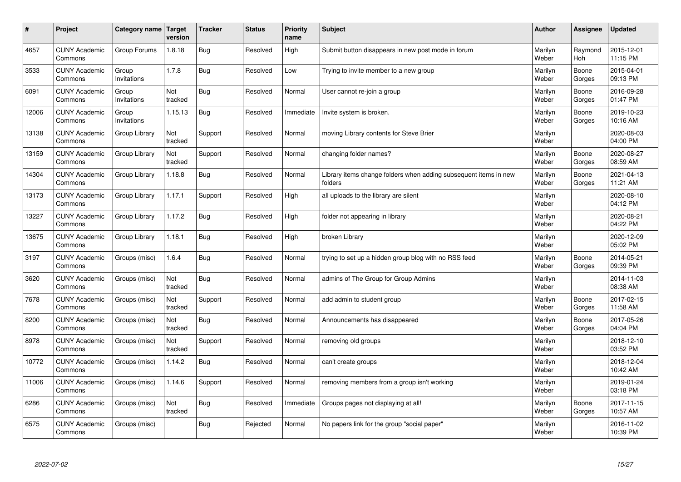| #     | Project                         | Category name   Target | version        | <b>Tracker</b> | <b>Status</b> | Priority<br>name | <b>Subject</b>                                                              | <b>Author</b>    | <b>Assignee</b>       | <b>Updated</b>         |
|-------|---------------------------------|------------------------|----------------|----------------|---------------|------------------|-----------------------------------------------------------------------------|------------------|-----------------------|------------------------|
| 4657  | <b>CUNY Academic</b><br>Commons | Group Forums           | 1.8.18         | Bug            | Resolved      | High             | Submit button disappears in new post mode in forum                          | Marilyn<br>Weber | Raymond<br><b>Hoh</b> | 2015-12-01<br>11:15 PM |
| 3533  | <b>CUNY Academic</b><br>Commons | Group<br>Invitations   | 1.7.8          | <b>Bug</b>     | Resolved      | Low              | Trying to invite member to a new group                                      | Marilyn<br>Weber | Boone<br>Gorges       | 2015-04-01<br>09:13 PM |
| 6091  | <b>CUNY Academic</b><br>Commons | Group<br>Invitations   | Not<br>tracked | Bug            | Resolved      | Normal           | User cannot re-join a group                                                 | Marilyn<br>Weber | Boone<br>Gorges       | 2016-09-28<br>01:47 PM |
| 12006 | <b>CUNY Academic</b><br>Commons | Group<br>Invitations   | 1.15.13        | Bug            | Resolved      | Immediate        | Invite system is broken.                                                    | Marilyn<br>Weber | Boone<br>Gorges       | 2019-10-23<br>10:16 AM |
| 13138 | <b>CUNY Academic</b><br>Commons | Group Library          | Not<br>tracked | Support        | Resolved      | Normal           | moving Library contents for Steve Brier                                     | Marilyn<br>Weber |                       | 2020-08-03<br>04:00 PM |
| 13159 | <b>CUNY Academic</b><br>Commons | Group Library          | Not<br>tracked | Support        | Resolved      | Normal           | changing folder names?                                                      | Marilyn<br>Weber | Boone<br>Gorges       | 2020-08-27<br>08:59 AM |
| 14304 | <b>CUNY Academic</b><br>Commons | Group Library          | 1.18.8         | Bug            | Resolved      | Normal           | Library items change folders when adding subsequent items in new<br>folders | Marilyn<br>Weber | Boone<br>Gorges       | 2021-04-13<br>11:21 AM |
| 13173 | <b>CUNY Academic</b><br>Commons | Group Library          | 1.17.1         | Support        | Resolved      | High             | all uploads to the library are silent                                       | Marilyn<br>Weber |                       | 2020-08-10<br>04:12 PM |
| 13227 | <b>CUNY Academic</b><br>Commons | Group Library          | 1.17.2         | <b>Bug</b>     | Resolved      | High             | folder not appearing in library                                             | Marilyn<br>Weber |                       | 2020-08-21<br>04:22 PM |
| 13675 | <b>CUNY Academic</b><br>Commons | Group Library          | 1.18.1         | <b>Bug</b>     | Resolved      | High             | broken Library                                                              | Marilyn<br>Weber |                       | 2020-12-09<br>05:02 PM |
| 3197  | <b>CUNY Academic</b><br>Commons | Groups (misc)          | 1.6.4          | Bug            | Resolved      | Normal           | trying to set up a hidden group blog with no RSS feed                       | Marilyn<br>Weber | Boone<br>Gorges       | 2014-05-21<br>09:39 PM |
| 3620  | <b>CUNY Academic</b><br>Commons | Groups (misc)          | Not<br>tracked | <b>Bug</b>     | Resolved      | Normal           | admins of The Group for Group Admins                                        | Marilyn<br>Weber |                       | 2014-11-03<br>08:38 AM |
| 7678  | <b>CUNY Academic</b><br>Commons | Groups (misc)          | Not<br>tracked | Support        | Resolved      | Normal           | add admin to student group                                                  | Marilyn<br>Weber | Boone<br>Gorges       | 2017-02-15<br>11:58 AM |
| 8200  | <b>CUNY Academic</b><br>Commons | Groups (misc)          | Not<br>tracked | Bug            | Resolved      | Normal           | Announcements has disappeared                                               | Marilyn<br>Weber | Boone<br>Gorges       | 2017-05-26<br>04:04 PM |
| 8978  | <b>CUNY Academic</b><br>Commons | Groups (misc)          | Not<br>tracked | Support        | Resolved      | Normal           | removing old groups                                                         | Marilyn<br>Weber |                       | 2018-12-10<br>03:52 PM |
| 10772 | <b>CUNY Academic</b><br>Commons | Groups (misc)          | 1.14.2         | <b>Bug</b>     | Resolved      | Normal           | can't create groups                                                         | Marilyn<br>Weber |                       | 2018-12-04<br>10:42 AM |
| 11006 | <b>CUNY Academic</b><br>Commons | Groups (misc)          | 1.14.6         | Support        | Resolved      | Normal           | removing members from a group isn't working                                 | Marilyn<br>Weber |                       | 2019-01-24<br>03:18 PM |
| 6286  | <b>CUNY Academic</b><br>Commons | Groups (misc)          | Not<br>tracked | Bug            | Resolved      | Immediate        | Groups pages not displaying at all!                                         | Marilyn<br>Weber | Boone<br>Gorges       | 2017-11-15<br>10:57 AM |
| 6575  | <b>CUNY Academic</b><br>Commons | Groups (misc)          |                | Bug            | Rejected      | Normal           | No papers link for the group "social paper"                                 | Marilyn<br>Weber |                       | 2016-11-02<br>10:39 PM |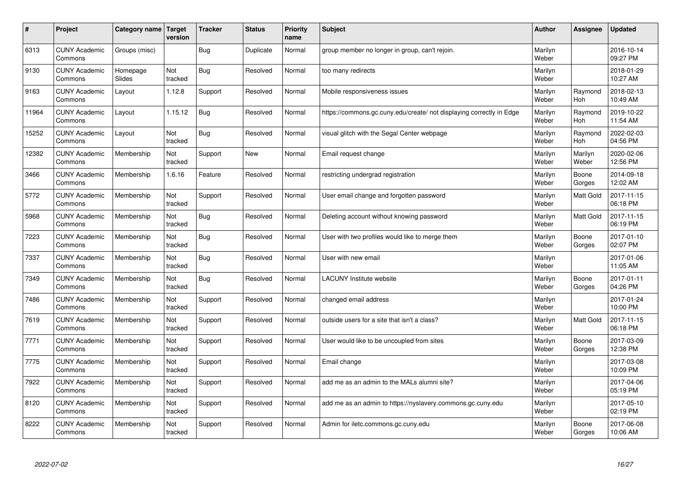| $\vert$ # | Project                         | Category name      | <b>Target</b><br>version | <b>Tracker</b> | <b>Status</b> | <b>Priority</b><br>name | <b>Subject</b>                                                       | <b>Author</b>    | <b>Assignee</b>       | <b>Updated</b>         |
|-----------|---------------------------------|--------------------|--------------------------|----------------|---------------|-------------------------|----------------------------------------------------------------------|------------------|-----------------------|------------------------|
| 6313      | <b>CUNY Academic</b><br>Commons | Groups (misc)      |                          | Bug            | Duplicate     | Normal                  | group member no longer in group, can't rejoin.                       | Marilyn<br>Weber |                       | 2016-10-14<br>09:27 PM |
| 9130      | <b>CUNY Academic</b><br>Commons | Homepage<br>Slides | Not<br>tracked           | Bug            | Resolved      | Normal                  | too many redirects                                                   | Marilyn<br>Weber |                       | 2018-01-29<br>10:27 AM |
| 9163      | <b>CUNY Academic</b><br>Commons | Layout             | 1.12.8                   | Support        | Resolved      | Normal                  | Mobile responsiveness issues                                         | Marilyn<br>Weber | Raymond<br><b>Hoh</b> | 2018-02-13<br>10:49 AM |
| 11964     | <b>CUNY Academic</b><br>Commons | Layout             | 1.15.12                  | <b>Bug</b>     | Resolved      | Normal                  | https://commons.gc.cuny.edu/create/ not displaying correctly in Edge | Marilyn<br>Weber | Raymond<br><b>Hoh</b> | 2019-10-22<br>11:54 AM |
| 15252     | <b>CUNY Academic</b><br>Commons | Layout             | Not<br>tracked           | <b>Bug</b>     | Resolved      | Normal                  | visual glitch with the Segal Center webpage                          | Marilyn<br>Weber | Raymond<br>Hoh        | 2022-02-03<br>04:56 PM |
| 12382     | <b>CUNY Academic</b><br>Commons | Membership         | Not<br>tracked           | Support        | New           | Normal                  | Email request change                                                 | Marilyn<br>Weber | Marilyn<br>Weber      | 2020-02-06<br>12:56 PM |
| 3466      | <b>CUNY Academic</b><br>Commons | Membership         | 1.6.16                   | Feature        | Resolved      | Normal                  | restricting undergrad registration                                   | Marilyn<br>Weber | Boone<br>Gorges       | 2014-09-18<br>12:02 AM |
| 5772      | <b>CUNY Academic</b><br>Commons | Membership         | Not<br>tracked           | Support        | Resolved      | Normal                  | User email change and forgotten password                             | Marilyn<br>Weber | Matt Gold             | 2017-11-15<br>06:18 PM |
| 5968      | <b>CUNY Academic</b><br>Commons | Membership         | Not<br>tracked           | Bug            | Resolved      | Normal                  | Deleting account without knowing password                            | Marilyn<br>Weber | <b>Matt Gold</b>      | 2017-11-15<br>06:19 PM |
| 7223      | <b>CUNY Academic</b><br>Commons | Membership         | Not<br>tracked           | <b>Bug</b>     | Resolved      | Normal                  | User with two profiles would like to merge them                      | Marilyn<br>Weber | Boone<br>Gorges       | 2017-01-10<br>02:07 PM |
| 7337      | <b>CUNY Academic</b><br>Commons | Membership         | Not<br>tracked           | Bug            | Resolved      | Normal                  | User with new email                                                  | Marilyn<br>Weber |                       | 2017-01-06<br>11:05 AM |
| 7349      | <b>CUNY Academic</b><br>Commons | Membership         | Not<br>tracked           | Bug            | Resolved      | Normal                  | <b>LACUNY Institute website</b>                                      | Marilyn<br>Weber | Boone<br>Gorges       | 2017-01-11<br>04:26 PM |
| 7486      | <b>CUNY Academic</b><br>Commons | Membership         | Not<br>tracked           | Support        | Resolved      | Normal                  | changed email address                                                | Marilyn<br>Weber |                       | 2017-01-24<br>10:00 PM |
| 7619      | <b>CUNY Academic</b><br>Commons | Membership         | Not<br>tracked           | Support        | Resolved      | Normal                  | outside users for a site that isn't a class?                         | Marilyn<br>Weber | Matt Gold             | 2017-11-15<br>06:18 PM |
| 7771      | <b>CUNY Academic</b><br>Commons | Membership         | Not<br>tracked           | Support        | Resolved      | Normal                  | User would like to be uncoupled from sites                           | Marilyn<br>Weber | Boone<br>Gorges       | 2017-03-09<br>12:38 PM |
| 7775      | <b>CUNY Academic</b><br>Commons | Membership         | Not<br>tracked           | Support        | Resolved      | Normal                  | Email change                                                         | Marilyn<br>Weber |                       | 2017-03-08<br>10:09 PM |
| 7922      | <b>CUNY Academic</b><br>Commons | Membership         | Not<br>tracked           | Support        | Resolved      | Normal                  | add me as an admin to the MALs alumni site?                          | Marilyn<br>Weber |                       | 2017-04-06<br>05:19 PM |
| 8120      | <b>CUNY Academic</b><br>Commons | Membership         | Not<br>tracked           | Support        | Resolved      | Normal                  | add me as an admin to https://nyslavery.commons.gc.cuny.edu          | Marilyn<br>Weber |                       | 2017-05-10<br>02:19 PM |
| 8222      | <b>CUNY Academic</b><br>Commons | Membership         | Not<br>tracked           | Support        | Resolved      | Normal                  | Admin for iletc.commons.gc.cuny.edu                                  | Marilyn<br>Weber | Boone<br>Gorges       | 2017-06-08<br>10:06 AM |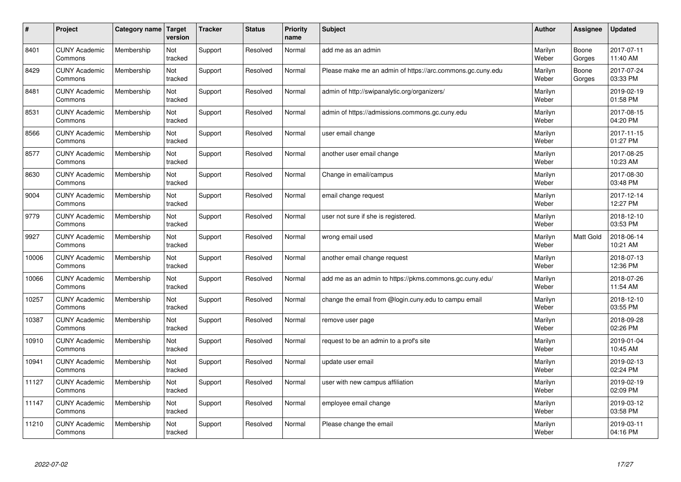| $\#$  | Project                         | Category name   Target | version        | <b>Tracker</b> | <b>Status</b> | Priority<br>name | <b>Subject</b>                                             | <b>Author</b>    | <b>Assignee</b> | <b>Updated</b>         |
|-------|---------------------------------|------------------------|----------------|----------------|---------------|------------------|------------------------------------------------------------|------------------|-----------------|------------------------|
| 8401  | <b>CUNY Academic</b><br>Commons | Membership             | Not<br>tracked | Support        | Resolved      | Normal           | add me as an admin                                         | Marilyn<br>Weber | Boone<br>Gorges | 2017-07-11<br>11:40 AM |
| 8429  | <b>CUNY Academic</b><br>Commons | Membership             | Not<br>tracked | Support        | Resolved      | Normal           | Please make me an admin of https://arc.commons.gc.cuny.edu | Marilyn<br>Weber | Boone<br>Gorges | 2017-07-24<br>03:33 PM |
| 8481  | <b>CUNY Academic</b><br>Commons | Membership             | Not<br>tracked | Support        | Resolved      | Normal           | admin of http://swipanalytic.org/organizers/               | Marilyn<br>Weber |                 | 2019-02-19<br>01:58 PM |
| 8531  | <b>CUNY Academic</b><br>Commons | Membership             | Not<br>tracked | Support        | Resolved      | Normal           | admin of https://admissions.commons.gc.cuny.edu            | Marilyn<br>Weber |                 | 2017-08-15<br>04:20 PM |
| 8566  | <b>CUNY Academic</b><br>Commons | Membership             | Not<br>tracked | Support        | Resolved      | Normal           | user email change                                          | Marilyn<br>Weber |                 | 2017-11-15<br>01:27 PM |
| 8577  | <b>CUNY Academic</b><br>Commons | Membership             | Not<br>tracked | Support        | Resolved      | Normal           | another user email change                                  | Marilyn<br>Weber |                 | 2017-08-25<br>10:23 AM |
| 8630  | <b>CUNY Academic</b><br>Commons | Membership             | Not<br>tracked | Support        | Resolved      | Normal           | Change in email/campus                                     | Marilyn<br>Weber |                 | 2017-08-30<br>03:48 PM |
| 9004  | <b>CUNY Academic</b><br>Commons | Membership             | Not<br>tracked | Support        | Resolved      | Normal           | email change request                                       | Marilyn<br>Weber |                 | 2017-12-14<br>12:27 PM |
| 9779  | <b>CUNY Academic</b><br>Commons | Membership             | Not<br>tracked | Support        | Resolved      | Normal           | user not sure if she is registered.                        | Marilyn<br>Weber |                 | 2018-12-10<br>03:53 PM |
| 9927  | <b>CUNY Academic</b><br>Commons | Membership             | Not<br>tracked | Support        | Resolved      | Normal           | wrong email used                                           | Marilyn<br>Weber | Matt Gold       | 2018-06-14<br>10:21 AM |
| 10006 | <b>CUNY Academic</b><br>Commons | Membership             | Not<br>tracked | Support        | Resolved      | Normal           | another email change request                               | Marilyn<br>Weber |                 | 2018-07-13<br>12:36 PM |
| 10066 | <b>CUNY Academic</b><br>Commons | Membership             | Not<br>tracked | Support        | Resolved      | Normal           | add me as an admin to https://pkms.commons.gc.cuny.edu/    | Marilyn<br>Weber |                 | 2018-07-26<br>11:54 AM |
| 10257 | <b>CUNY Academic</b><br>Commons | Membership             | Not<br>tracked | Support        | Resolved      | Normal           | change the email from @login.cuny.edu to campu email       | Marilyn<br>Weber |                 | 2018-12-10<br>03:55 PM |
| 10387 | <b>CUNY Academic</b><br>Commons | Membership             | Not<br>tracked | Support        | Resolved      | Normal           | remove user page                                           | Marilyn<br>Weber |                 | 2018-09-28<br>02:26 PM |
| 10910 | <b>CUNY Academic</b><br>Commons | Membership             | Not<br>tracked | Support        | Resolved      | Normal           | request to be an admin to a prof's site                    | Marilyn<br>Weber |                 | 2019-01-04<br>10:45 AM |
| 10941 | <b>CUNY Academic</b><br>Commons | Membership             | Not<br>tracked | Support        | Resolved      | Normal           | update user email                                          | Marilyn<br>Weber |                 | 2019-02-13<br>02:24 PM |
| 11127 | <b>CUNY Academic</b><br>Commons | Membership             | Not<br>tracked | Support        | Resolved      | Normal           | user with new campus affiliation                           | Marilyn<br>Weber |                 | 2019-02-19<br>02:09 PM |
| 11147 | <b>CUNY Academic</b><br>Commons | Membership             | Not<br>tracked | Support        | Resolved      | Normal           | employee email change                                      | Marilyn<br>Weber |                 | 2019-03-12<br>03:58 PM |
| 11210 | <b>CUNY Academic</b><br>Commons | Membership             | Not<br>tracked | Support        | Resolved      | Normal           | Please change the email                                    | Marilyn<br>Weber |                 | 2019-03-11<br>04:16 PM |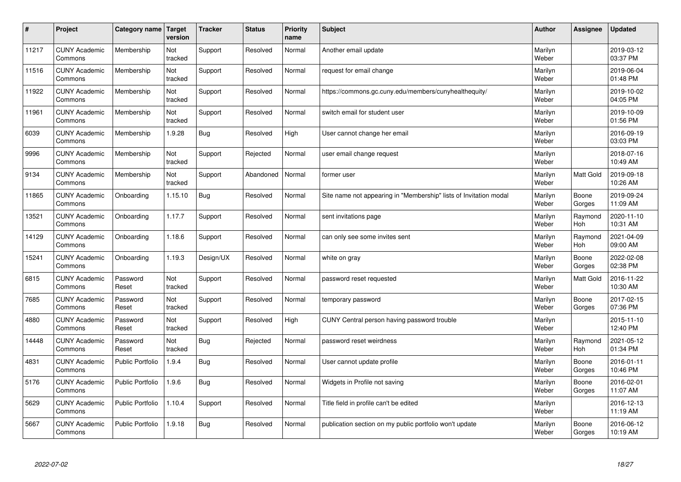| $\sharp$ | Project                         | Category name   Target  | version        | <b>Tracker</b> | <b>Status</b> | <b>Priority</b><br>name | <b>Subject</b>                                                    | <b>Author</b>    | Assignee              | <b>Updated</b>         |
|----------|---------------------------------|-------------------------|----------------|----------------|---------------|-------------------------|-------------------------------------------------------------------|------------------|-----------------------|------------------------|
| 11217    | <b>CUNY Academic</b><br>Commons | Membership              | Not<br>tracked | Support        | Resolved      | Normal                  | Another email update                                              | Marilyn<br>Weber |                       | 2019-03-12<br>03:37 PM |
| 11516    | <b>CUNY Academic</b><br>Commons | Membership              | Not<br>tracked | Support        | Resolved      | Normal                  | request for email change                                          | Marilyn<br>Weber |                       | 2019-06-04<br>01:48 PM |
| 11922    | <b>CUNY Academic</b><br>Commons | Membership              | Not<br>tracked | Support        | Resolved      | Normal                  | https://commons.gc.cuny.edu/members/cunyhealthequity/             | Marilyn<br>Weber |                       | 2019-10-02<br>04:05 PM |
| 11961    | <b>CUNY Academic</b><br>Commons | Membership              | Not<br>tracked | Support        | Resolved      | Normal                  | switch email for student user                                     | Marilyn<br>Weber |                       | 2019-10-09<br>01:56 PM |
| 6039     | <b>CUNY Academic</b><br>Commons | Membership              | 1.9.28         | <b>Bug</b>     | Resolved      | High                    | User cannot change her email                                      | Marilyn<br>Weber |                       | 2016-09-19<br>03:03 PM |
| 9996     | <b>CUNY Academic</b><br>Commons | Membership              | Not<br>tracked | Support        | Rejected      | Normal                  | user email change request                                         | Marilyn<br>Weber |                       | 2018-07-16<br>10:49 AM |
| 9134     | <b>CUNY Academic</b><br>Commons | Membership              | Not<br>tracked | Support        | Abandoned     | Normal                  | former user                                                       | Marilyn<br>Weber | <b>Matt Gold</b>      | 2019-09-18<br>10:26 AM |
| 11865    | <b>CUNY Academic</b><br>Commons | Onboarding              | 1.15.10        | Bug            | Resolved      | Normal                  | Site name not appearing in "Membership" lists of Invitation modal | Marilyn<br>Weber | Boone<br>Gorges       | 2019-09-24<br>11:09 AM |
| 13521    | <b>CUNY Academic</b><br>Commons | Onboarding              | 1.17.7         | Support        | Resolved      | Normal                  | sent invitations page                                             | Marilyn<br>Weber | Raymond<br>Hoh        | 2020-11-10<br>10:31 AM |
| 14129    | <b>CUNY Academic</b><br>Commons | Onboarding              | 1.18.6         | Support        | Resolved      | Normal                  | can only see some invites sent                                    | Marilyn<br>Weber | Raymond<br>Hoh        | 2021-04-09<br>09:00 AM |
| 15241    | <b>CUNY Academic</b><br>Commons | Onboarding              | 1.19.3         | Design/UX      | Resolved      | Normal                  | white on gray                                                     | Marilyn<br>Weber | Boone<br>Gorges       | 2022-02-08<br>02:38 PM |
| 6815     | <b>CUNY Academic</b><br>Commons | Password<br>Reset       | Not<br>tracked | Support        | Resolved      | Normal                  | password reset requested                                          | Marilyn<br>Weber | <b>Matt Gold</b>      | 2016-11-22<br>10:30 AM |
| 7685     | <b>CUNY Academic</b><br>Commons | Password<br>Reset       | Not<br>tracked | Support        | Resolved      | Normal                  | temporary password                                                | Marilyn<br>Weber | Boone<br>Gorges       | 2017-02-15<br>07:36 PM |
| 4880     | <b>CUNY Academic</b><br>Commons | Password<br>Reset       | Not<br>tracked | Support        | Resolved      | High                    | CUNY Central person having password trouble                       | Marilyn<br>Weber |                       | 2015-11-10<br>12:40 PM |
| 14448    | <b>CUNY Academic</b><br>Commons | Password<br>Reset       | Not<br>tracked | Bug            | Rejected      | Normal                  | password reset weirdness                                          | Marilyn<br>Weber | Raymond<br><b>Hoh</b> | 2021-05-12<br>01:34 PM |
| 4831     | <b>CUNY Academic</b><br>Commons | <b>Public Portfolio</b> | 1.9.4          | <b>Bug</b>     | Resolved      | Normal                  | User cannot update profile                                        | Marilyn<br>Weber | Boone<br>Gorges       | 2016-01-11<br>10:46 PM |
| 5176     | <b>CUNY Academic</b><br>Commons | <b>Public Portfolio</b> | 1.9.6          | <b>Bug</b>     | Resolved      | Normal                  | Widgets in Profile not saving                                     | Marilyn<br>Weber | Boone<br>Gorges       | 2016-02-01<br>11:07 AM |
| 5629     | <b>CUNY Academic</b><br>Commons | Public Portfolio        | 1.10.4         | Support        | Resolved      | Normal                  | Title field in profile can't be edited                            | Marilyn<br>Weber |                       | 2016-12-13<br>11:19 AM |
| 5667     | <b>CUNY Academic</b><br>Commons | <b>Public Portfolio</b> | 1.9.18         | Bug            | Resolved      | Normal                  | publication section on my public portfolio won't update           | Marilyn<br>Weber | Boone<br>Gorges       | 2016-06-12<br>10:19 AM |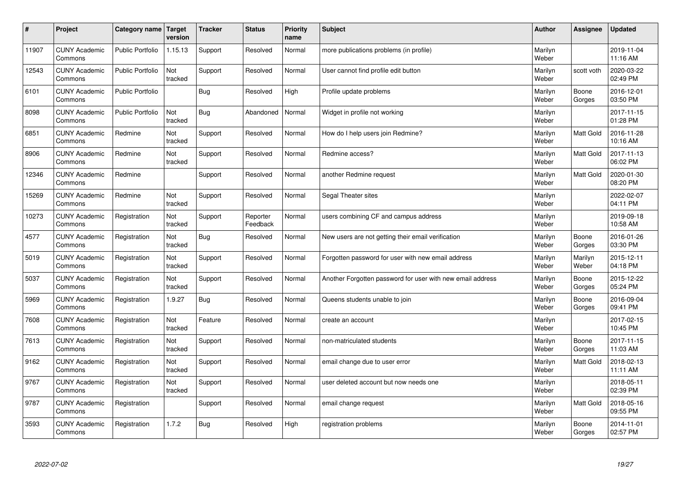| $\pmb{\#}$ | Project                         | Category name           | <b>Target</b><br>version | <b>Tracker</b> | <b>Status</b>        | <b>Priority</b><br>name | <b>Subject</b>                                             | <b>Author</b>    | Assignee         | <b>Updated</b>         |
|------------|---------------------------------|-------------------------|--------------------------|----------------|----------------------|-------------------------|------------------------------------------------------------|------------------|------------------|------------------------|
| 11907      | <b>CUNY Academic</b><br>Commons | <b>Public Portfolio</b> | 1.15.13                  | Support        | Resolved             | Normal                  | more publications problems (in profile)                    | Marilyn<br>Weber |                  | 2019-11-04<br>11:16 AM |
| 12543      | <b>CUNY Academic</b><br>Commons | <b>Public Portfolio</b> | Not<br>tracked           | Support        | Resolved             | Normal                  | User cannot find profile edit button                       | Marilyn<br>Weber | scott voth       | 2020-03-22<br>02:49 PM |
| 6101       | <b>CUNY Academic</b><br>Commons | <b>Public Portfolio</b> |                          | <b>Bug</b>     | Resolved             | High                    | Profile update problems                                    | Marilyn<br>Weber | Boone<br>Gorges  | 2016-12-01<br>03:50 PM |
| 8098       | <b>CUNY Academic</b><br>Commons | <b>Public Portfolio</b> | Not<br>tracked           | <b>Bug</b>     | Abandoned            | Normal                  | Widget in profile not working                              | Marilyn<br>Weber |                  | 2017-11-15<br>01:28 PM |
| 6851       | <b>CUNY Academic</b><br>Commons | Redmine                 | Not<br>tracked           | Support        | Resolved             | Normal                  | How do I help users join Redmine?                          | Marilyn<br>Weber | <b>Matt Gold</b> | 2016-11-28<br>10:16 AM |
| 8906       | <b>CUNY Academic</b><br>Commons | Redmine                 | Not<br>tracked           | Support        | Resolved             | Normal                  | Redmine access?                                            | Marilyn<br>Weber | Matt Gold        | 2017-11-13<br>06:02 PM |
| 12346      | <b>CUNY Academic</b><br>Commons | Redmine                 |                          | Support        | Resolved             | Normal                  | another Redmine request                                    | Marilyn<br>Weber | Matt Gold        | 2020-01-30<br>08:20 PM |
| 15269      | <b>CUNY Academic</b><br>Commons | Redmine                 | Not<br>tracked           | Support        | Resolved             | Normal                  | Segal Theater sites                                        | Marilyn<br>Weber |                  | 2022-02-07<br>04:11 PM |
| 10273      | <b>CUNY Academic</b><br>Commons | Registration            | Not<br>tracked           | Support        | Reporter<br>Feedback | Normal                  | users combining CF and campus address                      | Marilyn<br>Weber |                  | 2019-09-18<br>10:58 AM |
| 4577       | <b>CUNY Academic</b><br>Commons | Registration            | Not<br>tracked           | <b>Bug</b>     | Resolved             | Normal                  | New users are not getting their email verification         | Marilyn<br>Weber | Boone<br>Gorges  | 2016-01-26<br>03:30 PM |
| 5019       | <b>CUNY Academic</b><br>Commons | Registration            | Not<br>tracked           | Support        | Resolved             | Normal                  | Forgotten password for user with new email address         | Marilyn<br>Weber | Marilyn<br>Weber | 2015-12-11<br>04:18 PM |
| 5037       | <b>CUNY Academic</b><br>Commons | Registration            | Not<br>tracked           | Support        | Resolved             | Normal                  | Another Forgotten password for user with new email address | Marilyn<br>Weber | Boone<br>Gorges  | 2015-12-22<br>05:24 PM |
| 5969       | <b>CUNY Academic</b><br>Commons | Registration            | 1.9.27                   | <b>Bug</b>     | Resolved             | Normal                  | Queens students unable to join                             | Marilyn<br>Weber | Boone<br>Gorges  | 2016-09-04<br>09:41 PM |
| 7608       | <b>CUNY Academic</b><br>Commons | Registration            | Not<br>tracked           | Feature        | Resolved             | Normal                  | create an account                                          | Marilyn<br>Weber |                  | 2017-02-15<br>10:45 PM |
| 7613       | <b>CUNY Academic</b><br>Commons | Registration            | Not<br>tracked           | Support        | Resolved             | Normal                  | non-matriculated students                                  | Marilyn<br>Weber | Boone<br>Gorges  | 2017-11-15<br>11:03 AM |
| 9162       | <b>CUNY Academic</b><br>Commons | Registration            | Not<br>tracked           | Support        | Resolved             | Normal                  | email change due to user error                             | Marilyn<br>Weber | <b>Matt Gold</b> | 2018-02-13<br>11:11 AM |
| 9767       | <b>CUNY Academic</b><br>Commons | Registration            | Not<br>tracked           | Support        | Resolved             | Normal                  | user deleted account but now needs one                     | Marilyn<br>Weber |                  | 2018-05-11<br>02:39 PM |
| 9787       | <b>CUNY Academic</b><br>Commons | Registration            |                          | Support        | Resolved             | Normal                  | email change request                                       | Marilyn<br>Weber | Matt Gold        | 2018-05-16<br>09:55 PM |
| 3593       | <b>CUNY Academic</b><br>Commons | Registration            | 1.7.2                    | Bug            | Resolved             | High                    | registration problems                                      | Marilyn<br>Weber | Boone<br>Gorges  | 2014-11-01<br>02:57 PM |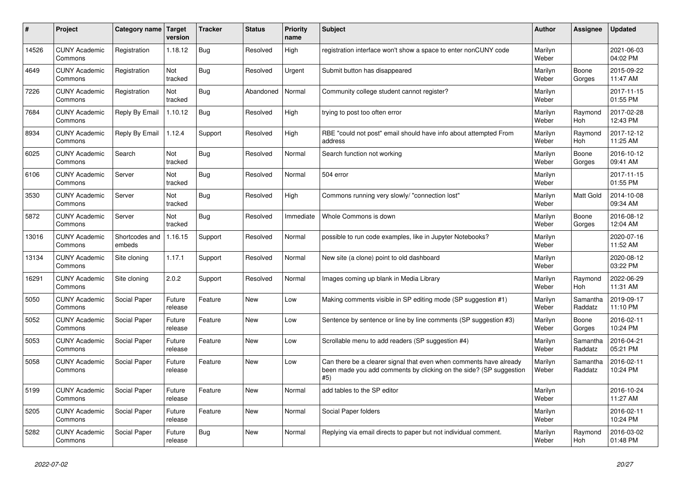| $\pmb{\#}$ | Project                         | Category name            | <b>Target</b><br>version | <b>Tracker</b> | <b>Status</b> | <b>Priority</b><br>name | <b>Subject</b>                                                                                                                                  | <b>Author</b>    | <b>Assignee</b>     | <b>Updated</b>         |
|------------|---------------------------------|--------------------------|--------------------------|----------------|---------------|-------------------------|-------------------------------------------------------------------------------------------------------------------------------------------------|------------------|---------------------|------------------------|
| 14526      | <b>CUNY Academic</b><br>Commons | Registration             | 1.18.12                  | <b>Bug</b>     | Resolved      | High                    | registration interface won't show a space to enter nonCUNY code                                                                                 | Marilyn<br>Weber |                     | 2021-06-03<br>04:02 PM |
| 4649       | <b>CUNY Academic</b><br>Commons | Registration             | Not<br>tracked           | Bug            | Resolved      | Urgent                  | Submit button has disappeared                                                                                                                   | Marilyn<br>Weber | Boone<br>Gorges     | 2015-09-22<br>11:47 AM |
| 7226       | <b>CUNY Academic</b><br>Commons | Registration             | Not<br>tracked           | <b>Bug</b>     | Abandoned     | Normal                  | Community college student cannot register?                                                                                                      | Marilyn<br>Weber |                     | 2017-11-15<br>01:55 PM |
| 7684       | <b>CUNY Academic</b><br>Commons | Reply By Email           | 1.10.12                  | Bug            | Resolved      | High                    | trying to post too often error                                                                                                                  | Marilyn<br>Weber | Raymond<br>Hoh      | 2017-02-28<br>12:43 PM |
| 8934       | <b>CUNY Academic</b><br>Commons | Reply By Email           | 1.12.4                   | Support        | Resolved      | High                    | RBE "could not post" email should have info about attempted From<br>address                                                                     | Marilyn<br>Weber | Raymond<br>Hoh      | 2017-12-12<br>11:25 AM |
| 6025       | <b>CUNY Academic</b><br>Commons | Search                   | Not<br>tracked           | <b>Bug</b>     | Resolved      | Normal                  | Search function not working                                                                                                                     | Marilyn<br>Weber | Boone<br>Gorges     | 2016-10-12<br>09:41 AM |
| 6106       | <b>CUNY Academic</b><br>Commons | Server                   | Not<br>tracked           | <b>Bug</b>     | Resolved      | Normal                  | 504 error                                                                                                                                       | Marilyn<br>Weber |                     | 2017-11-15<br>01:55 PM |
| 3530       | <b>CUNY Academic</b><br>Commons | Server                   | Not<br>tracked           | Bug            | Resolved      | High                    | Commons running very slowly/ "connection lost"                                                                                                  | Marilyn<br>Weber | <b>Matt Gold</b>    | 2014-10-08<br>09:34 AM |
| 5872       | <b>CUNY Academic</b><br>Commons | Server                   | Not<br>tracked           | <b>Bug</b>     | Resolved      | Immediate               | Whole Commons is down                                                                                                                           | Marilyn<br>Weber | Boone<br>Gorges     | 2016-08-12<br>12:04 AM |
| 13016      | <b>CUNY Academic</b><br>Commons | Shortcodes and<br>embeds | 1.16.15                  | Support        | Resolved      | Normal                  | possible to run code examples, like in Jupyter Notebooks?                                                                                       | Marilyn<br>Weber |                     | 2020-07-16<br>11:52 AM |
| 13134      | <b>CUNY Academic</b><br>Commons | Site cloning             | 1.17.1                   | Support        | Resolved      | Normal                  | New site (a clone) point to old dashboard                                                                                                       | Marilyn<br>Weber |                     | 2020-08-12<br>03:22 PM |
| 16291      | <b>CUNY Academic</b><br>Commons | Site cloning             | 2.0.2                    | Support        | Resolved      | Normal                  | Images coming up blank in Media Library                                                                                                         | Marilyn<br>Weber | Raymond<br>Hoh      | 2022-06-29<br>11:31 AM |
| 5050       | <b>CUNY Academic</b><br>Commons | Social Paper             | Future<br>release        | Feature        | <b>New</b>    | Low                     | Making comments visible in SP editing mode (SP suggestion #1)                                                                                   | Marilyn<br>Weber | Samantha<br>Raddatz | 2019-09-17<br>11:10 PM |
| 5052       | <b>CUNY Academic</b><br>Commons | Social Paper             | Future<br>release        | Feature        | <b>New</b>    | Low                     | Sentence by sentence or line by line comments (SP suggestion #3)                                                                                | Marilyn<br>Weber | Boone<br>Gorges     | 2016-02-11<br>10:24 PM |
| 5053       | <b>CUNY Academic</b><br>Commons | Social Paper             | Future<br>release        | Feature        | <b>New</b>    | Low                     | Scrollable menu to add readers (SP suggestion #4)                                                                                               | Marilyn<br>Weber | Samantha<br>Raddatz | 2016-04-21<br>05:21 PM |
| 5058       | <b>CUNY Academic</b><br>Commons | Social Paper             | Future<br>release        | Feature        | <b>New</b>    | Low                     | Can there be a clearer signal that even when comments have already<br>been made you add comments by clicking on the side? (SP suggestion<br>#5) | Marilyn<br>Weber | Samantha<br>Raddatz | 2016-02-11<br>10:24 PM |
| 5199       | <b>CUNY Academic</b><br>Commons | Social Paper             | Future<br>release        | Feature        | <b>New</b>    | Normal                  | add tables to the SP editor                                                                                                                     | Marilyn<br>Weber |                     | 2016-10-24<br>11:27 AM |
| 5205       | <b>CUNY Academic</b><br>Commons | <b>Social Paper</b>      | Future<br>release        | Feature        | <b>New</b>    | Normal                  | Social Paper folders                                                                                                                            | Marilyn<br>Weber |                     | 2016-02-11<br>10:24 PM |
| 5282       | <b>CUNY Academic</b><br>Commons | Social Paper             | Future<br>release        | Bug            | <b>New</b>    | Normal                  | Replying via email directs to paper but not individual comment.                                                                                 | Marilyn<br>Weber | Raymond<br>Hoh      | 2016-03-02<br>01:48 PM |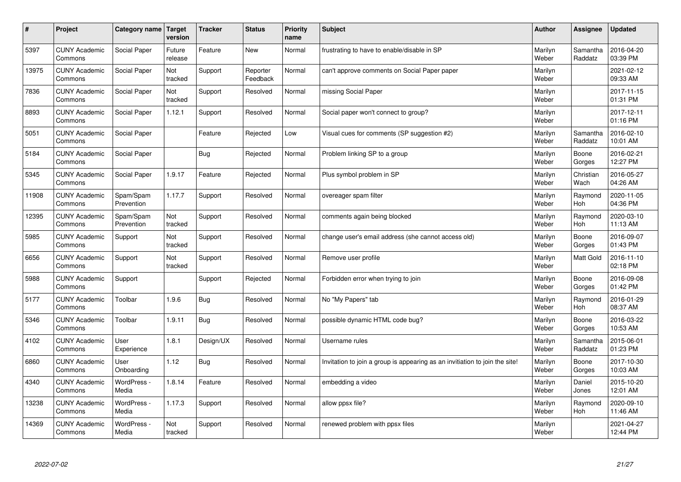| $\sharp$ | Project                         | Category name   Target  | version           | <b>Tracker</b> | <b>Status</b>        | Priority<br>name | <b>Subject</b>                                                              | <b>Author</b>    | Assignee              | <b>Updated</b>         |
|----------|---------------------------------|-------------------------|-------------------|----------------|----------------------|------------------|-----------------------------------------------------------------------------|------------------|-----------------------|------------------------|
| 5397     | <b>CUNY Academic</b><br>Commons | Social Paper            | Future<br>release | Feature        | <b>New</b>           | Normal           | frustrating to have to enable/disable in SP                                 | Marilyn<br>Weber | Samantha<br>Raddatz   | 2016-04-20<br>03:39 PM |
| 13975    | <b>CUNY Academic</b><br>Commons | Social Paper            | Not<br>tracked    | Support        | Reporter<br>Feedback | Normal           | can't approve comments on Social Paper paper                                | Marilyn<br>Weber |                       | 2021-02-12<br>09:33 AM |
| 7836     | <b>CUNY Academic</b><br>Commons | Social Paper            | Not<br>tracked    | Support        | Resolved             | Normal           | missing Social Paper                                                        | Marilyn<br>Weber |                       | 2017-11-15<br>01:31 PM |
| 8893     | <b>CUNY Academic</b><br>Commons | Social Paper            | 1.12.1            | Support        | Resolved             | Normal           | Social paper won't connect to group?                                        | Marilyn<br>Weber |                       | 2017-12-11<br>01:16 PM |
| 5051     | <b>CUNY Academic</b><br>Commons | Social Paper            |                   | Feature        | Rejected             | Low              | Visual cues for comments (SP suggestion #2)                                 | Marilyn<br>Weber | Samantha<br>Raddatz   | 2016-02-10<br>10:01 AM |
| 5184     | <b>CUNY Academic</b><br>Commons | Social Paper            |                   | Bug            | Rejected             | Normal           | Problem linking SP to a group                                               | Marilyn<br>Weber | Boone<br>Gorges       | 2016-02-21<br>12:27 PM |
| 5345     | <b>CUNY Academic</b><br>Commons | Social Paper            | 1.9.17            | Feature        | Rejected             | Normal           | Plus symbol problem in SP                                                   | Marilyn<br>Weber | Christian<br>Wach     | 2016-05-27<br>04:26 AM |
| 11908    | <b>CUNY Academic</b><br>Commons | Spam/Spam<br>Prevention | 1.17.7            | Support        | Resolved             | Normal           | overeager spam filter                                                       | Marilyn<br>Weber | Raymond<br>Hoh        | 2020-11-05<br>04:36 PM |
| 12395    | <b>CUNY Academic</b><br>Commons | Spam/Spam<br>Prevention | Not<br>tracked    | Support        | Resolved             | Normal           | comments again being blocked                                                | Marilyn<br>Weber | Raymond<br>Hoh        | 2020-03-10<br>11:13 AM |
| 5985     | <b>CUNY Academic</b><br>Commons | Support                 | Not<br>tracked    | Support        | Resolved             | Normal           | change user's email address (she cannot access old)                         | Marilyn<br>Weber | Boone<br>Gorges       | 2016-09-07<br>01:43 PM |
| 6656     | <b>CUNY Academic</b><br>Commons | Support                 | Not<br>tracked    | Support        | Resolved             | Normal           | Remove user profile                                                         | Marilyn<br>Weber | <b>Matt Gold</b>      | 2016-11-10<br>02:18 PM |
| 5988     | <b>CUNY Academic</b><br>Commons | Support                 |                   | Support        | Rejected             | Normal           | Forbidden error when trying to join                                         | Marilyn<br>Weber | Boone<br>Gorges       | 2016-09-08<br>01:42 PM |
| 5177     | <b>CUNY Academic</b><br>Commons | Toolbar                 | 1.9.6             | <b>Bug</b>     | Resolved             | Normal           | No "My Papers" tab                                                          | Marilyn<br>Weber | Raymond<br>Hoh        | 2016-01-29<br>08:37 AM |
| 5346     | <b>CUNY Academic</b><br>Commons | Toolbar                 | 1.9.11            | Bug            | Resolved             | Normal           | possible dynamic HTML code bug?                                             | Marilyn<br>Weber | Boone<br>Gorges       | 2016-03-22<br>10:53 AM |
| 4102     | <b>CUNY Academic</b><br>Commons | User<br>Experience      | 1.8.1             | Design/UX      | Resolved             | Normal           | Username rules                                                              | Marilyn<br>Weber | Samantha<br>Raddatz   | 2015-06-01<br>01:23 PM |
| 6860     | <b>CUNY Academic</b><br>Commons | User<br>Onboarding      | 1.12              | <b>Bug</b>     | Resolved             | Normal           | Invitation to join a group is appearing as an invitiation to join the site! | Marilyn<br>Weber | Boone<br>Gorges       | 2017-10-30<br>10:03 AM |
| 4340     | <b>CUNY Academic</b><br>Commons | WordPress -<br>Media    | 1.8.14            | Feature        | Resolved             | Normal           | embedding a video                                                           | Marilyn<br>Weber | Daniel<br>Jones       | 2015-10-20<br>12:01 AM |
| 13238    | <b>CUNY Academic</b><br>Commons | WordPress -<br>Media    | 1.17.3            | Support        | Resolved             | Normal           | allow ppsx file?                                                            | Marilyn<br>Weber | Raymond<br><b>Hoh</b> | 2020-09-10<br>11:46 AM |
| 14369    | <b>CUNY Academic</b><br>Commons | WordPress -<br>Media    | Not<br>tracked    | Support        | Resolved             | Normal           | renewed problem with ppsx files                                             | Marilyn<br>Weber |                       | 2021-04-27<br>12:44 PM |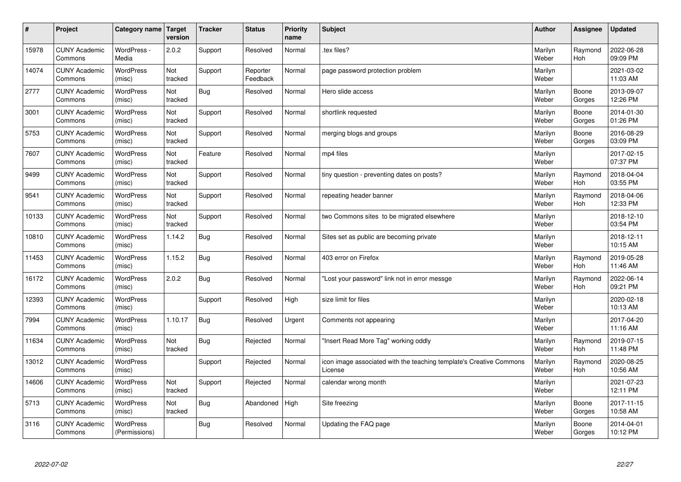| $\sharp$ | Project                         | Category name   Target            | version        | <b>Tracker</b> | <b>Status</b>        | <b>Priority</b><br>name | <b>Subject</b>                                                                 | <b>Author</b>    | Assignee              | <b>Updated</b>         |
|----------|---------------------------------|-----------------------------------|----------------|----------------|----------------------|-------------------------|--------------------------------------------------------------------------------|------------------|-----------------------|------------------------|
| 15978    | <b>CUNY Academic</b><br>Commons | WordPress -<br>Media              | 2.0.2          | Support        | Resolved             | Normal                  | tex files?                                                                     | Marilyn<br>Weber | Raymond<br><b>Hoh</b> | 2022-06-28<br>09:09 PM |
| 14074    | <b>CUNY Academic</b><br>Commons | <b>WordPress</b><br>(misc)        | Not<br>tracked | Support        | Reporter<br>Feedback | Normal                  | page password protection problem                                               | Marilyn<br>Weber |                       | 2021-03-02<br>11:03 AM |
| 2777     | <b>CUNY Academic</b><br>Commons | <b>WordPress</b><br>(misc)        | Not<br>tracked | Bug            | Resolved             | Normal                  | Hero slide access                                                              | Marilyn<br>Weber | Boone<br>Gorges       | 2013-09-07<br>12:26 PM |
| 3001     | <b>CUNY Academic</b><br>Commons | <b>WordPress</b><br>(misc)        | Not<br>tracked | Support        | Resolved             | Normal                  | shortlink requested                                                            | Marilyn<br>Weber | Boone<br>Gorges       | 2014-01-30<br>01:26 PM |
| 5753     | <b>CUNY Academic</b><br>Commons | <b>WordPress</b><br>(misc)        | Not<br>tracked | Support        | Resolved             | Normal                  | merging blogs and groups                                                       | Marilyn<br>Weber | Boone<br>Gorges       | 2016-08-29<br>03:09 PM |
| 7607     | <b>CUNY Academic</b><br>Commons | WordPress<br>(misc)               | Not<br>tracked | Feature        | Resolved             | Normal                  | mp4 files                                                                      | Marilyn<br>Weber |                       | 2017-02-15<br>07:37 PM |
| 9499     | <b>CUNY Academic</b><br>Commons | <b>WordPress</b><br>(misc)        | Not<br>tracked | Support        | Resolved             | Normal                  | tiny question - preventing dates on posts?                                     | Marilyn<br>Weber | Raymond<br>Hoh        | 2018-04-04<br>03:55 PM |
| 9541     | <b>CUNY Academic</b><br>Commons | <b>WordPress</b><br>(misc)        | Not<br>tracked | Support        | Resolved             | Normal                  | repeating header banner                                                        | Marilyn<br>Weber | Raymond<br>Hoh        | 2018-04-06<br>12:33 PM |
| 10133    | <b>CUNY Academic</b><br>Commons | <b>WordPress</b><br>(misc)        | Not<br>tracked | Support        | Resolved             | Normal                  | two Commons sites to be migrated elsewhere                                     | Marilyn<br>Weber |                       | 2018-12-10<br>03:54 PM |
| 10810    | <b>CUNY Academic</b><br>Commons | WordPress<br>(misc)               | 1.14.2         | Bug            | Resolved             | Normal                  | Sites set as public are becoming private                                       | Marilyn<br>Weber |                       | 2018-12-11<br>10:15 AM |
| 11453    | <b>CUNY Academic</b><br>Commons | WordPress<br>(misc)               | 1.15.2         | <b>Bug</b>     | Resolved             | Normal                  | 403 error on Firefox                                                           | Marilyn<br>Weber | Raymond<br>Hoh        | 2019-05-28<br>11:46 AM |
| 16172    | <b>CUNY Academic</b><br>Commons | <b>WordPress</b><br>(misc)        | 2.0.2          | Bug            | Resolved             | Normal                  | 'Lost your password" link not in error messge                                  | Marilyn<br>Weber | Raymond<br>Hoh        | 2022-06-14<br>09:21 PM |
| 12393    | <b>CUNY Academic</b><br>Commons | WordPress<br>(misc)               |                | Support        | Resolved             | High                    | size limit for files                                                           | Marilyn<br>Weber |                       | 2020-02-18<br>10:13 AM |
| 7994     | <b>CUNY Academic</b><br>Commons | WordPress<br>(misc)               | 1.10.17        | Bug            | Resolved             | Urgent                  | Comments not appearing                                                         | Marilyn<br>Weber |                       | 2017-04-20<br>11:16 AM |
| 11634    | <b>CUNY Academic</b><br>Commons | <b>WordPress</b><br>(misc)        | Not<br>tracked | Bug            | Rejected             | Normal                  | "Insert Read More Tag" working oddly                                           | Marilyn<br>Weber | Raymond<br>Hoh        | 2019-07-15<br>11:48 PM |
| 13012    | <b>CUNY Academic</b><br>Commons | <b>WordPress</b><br>(misc)        |                | Support        | Rejected             | Normal                  | icon image associated with the teaching template's Creative Commons<br>License | Marilyn<br>Weber | Raymond<br><b>Hoh</b> | 2020-08-25<br>10:56 AM |
| 14606    | <b>CUNY Academic</b><br>Commons | WordPress<br>(misc)               | Not<br>tracked | Support        | Rejected             | Normal                  | calendar wrong month                                                           | Marilyn<br>Weber |                       | 2021-07-23<br>12:11 PM |
| 5713     | <b>CUNY Academic</b><br>Commons | WordPress<br>(misc)               | Not<br>tracked | Bug            | Abandoned            | High                    | Site freezing                                                                  | Marilyn<br>Weber | Boone<br>Gorges       | 2017-11-15<br>10:58 AM |
| 3116     | <b>CUNY Academic</b><br>Commons | <b>WordPress</b><br>(Permissions) |                | Bug            | Resolved             | Normal                  | Updating the FAQ page                                                          | Marilyn<br>Weber | Boone<br>Gorges       | 2014-04-01<br>10:12 PM |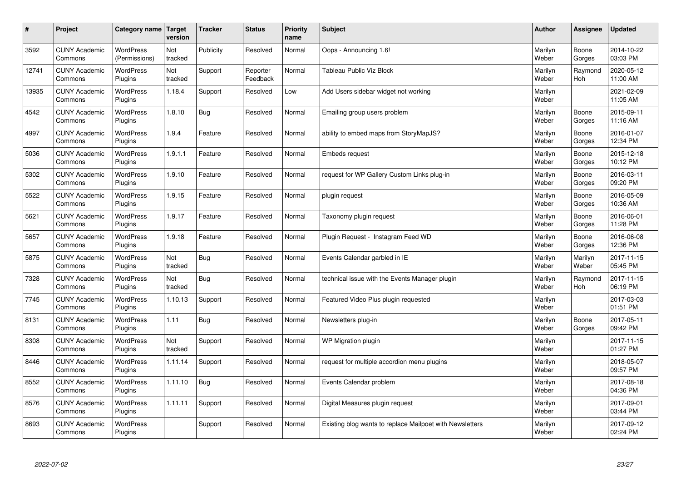| $\sharp$ | Project                         | Category name   Target            | version        | <b>Tracker</b> | <b>Status</b>        | <b>Priority</b><br>name | <b>Subject</b>                                           | <b>Author</b>    | Assignee              | <b>Updated</b>         |
|----------|---------------------------------|-----------------------------------|----------------|----------------|----------------------|-------------------------|----------------------------------------------------------|------------------|-----------------------|------------------------|
| 3592     | <b>CUNY Academic</b><br>Commons | <b>WordPress</b><br>(Permissions) | Not<br>tracked | Publicity      | Resolved             | Normal                  | Oops - Announcing 1.6!                                   | Marilyn<br>Weber | Boone<br>Gorges       | 2014-10-22<br>03:03 PM |
| 12741    | <b>CUNY Academic</b><br>Commons | <b>WordPress</b><br>Plugins       | Not<br>tracked | Support        | Reporter<br>Feedback | Normal                  | Tableau Public Viz Block                                 | Marilyn<br>Weber | Raymond<br><b>Hoh</b> | 2020-05-12<br>11:00 AM |
| 13935    | <b>CUNY Academic</b><br>Commons | <b>WordPress</b><br>Plugins       | 1.18.4         | Support        | Resolved             | Low                     | Add Users sidebar widget not working                     | Marilyn<br>Weber |                       | 2021-02-09<br>11:05 AM |
| 4542     | <b>CUNY Academic</b><br>Commons | <b>WordPress</b><br>Plugins       | 1.8.10         | <b>Bug</b>     | Resolved             | Normal                  | Emailing group users problem                             | Marilyn<br>Weber | Boone<br>Gorges       | 2015-09-11<br>11:16 AM |
| 4997     | <b>CUNY Academic</b><br>Commons | <b>WordPress</b><br>Plugins       | 1.9.4          | Feature        | Resolved             | Normal                  | ability to embed maps from StoryMapJS?                   | Marilyn<br>Weber | Boone<br>Gorges       | 2016-01-07<br>12:34 PM |
| 5036     | <b>CUNY Academic</b><br>Commons | WordPress<br>Plugins              | 1.9.1.1        | Feature        | Resolved             | Normal                  | <b>Embeds request</b>                                    | Marilyn<br>Weber | Boone<br>Gorges       | 2015-12-18<br>10:12 PM |
| 5302     | <b>CUNY Academic</b><br>Commons | WordPress<br>Plugins              | 1.9.10         | Feature        | Resolved             | Normal                  | request for WP Gallery Custom Links plug-in              | Marilyn<br>Weber | Boone<br>Gorges       | 2016-03-11<br>09:20 PM |
| 5522     | <b>CUNY Academic</b><br>Commons | WordPress<br>Plugins              | 1.9.15         | Feature        | Resolved             | Normal                  | plugin request                                           | Marilyn<br>Weber | Boone<br>Gorges       | 2016-05-09<br>10:36 AM |
| 5621     | <b>CUNY Academic</b><br>Commons | <b>WordPress</b><br>Plugins       | 1.9.17         | Feature        | Resolved             | Normal                  | Taxonomy plugin request                                  | Marilyn<br>Weber | Boone<br>Gorges       | 2016-06-01<br>11:28 PM |
| 5657     | <b>CUNY Academic</b><br>Commons | WordPress<br>Plugins              | 1.9.18         | Feature        | Resolved             | Normal                  | Plugin Request - Instagram Feed WD                       | Marilyn<br>Weber | Boone<br>Gorges       | 2016-06-08<br>12:36 PM |
| 5875     | <b>CUNY Academic</b><br>Commons | WordPress<br>Plugins              | Not<br>tracked | <b>Bug</b>     | Resolved             | Normal                  | Events Calendar garbled in IE                            | Marilyn<br>Weber | Marilyn<br>Weber      | 2017-11-15<br>05:45 PM |
| 7328     | <b>CUNY Academic</b><br>Commons | <b>WordPress</b><br>Plugins       | Not<br>tracked | <b>Bug</b>     | Resolved             | Normal                  | technical issue with the Events Manager plugin           | Marilyn<br>Weber | Raymond<br>Hoh        | 2017-11-15<br>06:19 PM |
| 7745     | <b>CUNY Academic</b><br>Commons | <b>WordPress</b><br>Plugins       | 1.10.13        | Support        | Resolved             | Normal                  | Featured Video Plus plugin requested                     | Marilyn<br>Weber |                       | 2017-03-03<br>01:51 PM |
| 8131     | <b>CUNY Academic</b><br>Commons | WordPress<br>Plugins              | 1.11           | <b>Bug</b>     | Resolved             | Normal                  | Newsletters plug-in                                      | Marilyn<br>Weber | Boone<br>Gorges       | 2017-05-11<br>09:42 PM |
| 8308     | <b>CUNY Academic</b><br>Commons | <b>WordPress</b><br>Plugins       | Not<br>tracked | Support        | Resolved             | Normal                  | WP Migration plugin                                      | Marilyn<br>Weber |                       | 2017-11-15<br>01:27 PM |
| 8446     | <b>CUNY Academic</b><br>Commons | WordPress<br>Plugins              | 1.11.14        | Support        | Resolved             | Normal                  | request for multiple accordion menu plugins              | Marilyn<br>Weber |                       | 2018-05-07<br>09:57 PM |
| 8552     | <b>CUNY Academic</b><br>Commons | WordPress<br>Plugins              | 1.11.10        | Bug            | Resolved             | Normal                  | Events Calendar problem                                  | Marilyn<br>Weber |                       | 2017-08-18<br>04:36 PM |
| 8576     | <b>CUNY Academic</b><br>Commons | WordPress<br>Plugins              | 1.11.11        | Support        | Resolved             | Normal                  | Digital Measures plugin request                          | Marilyn<br>Weber |                       | 2017-09-01<br>03:44 PM |
| 8693     | <b>CUNY Academic</b><br>Commons | WordPress<br>Plugins              |                | Support        | Resolved             | Normal                  | Existing blog wants to replace Mailpoet with Newsletters | Marilyn<br>Weber |                       | 2017-09-12<br>02:24 PM |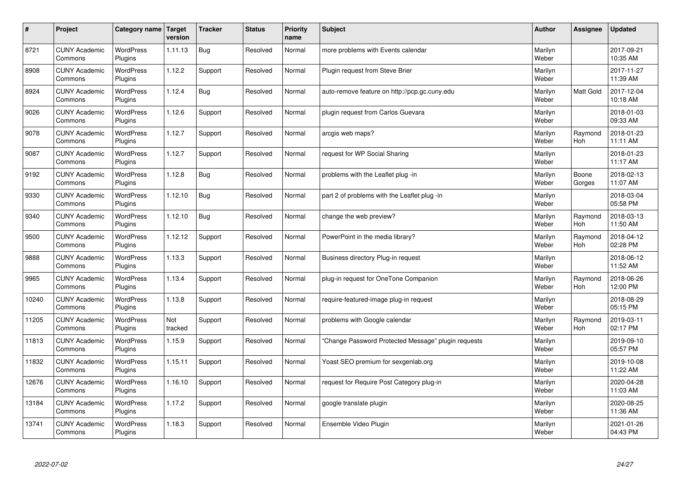| $\sharp$ | Project                         | Category name   Target      | version        | <b>Tracker</b> | <b>Status</b> | <b>Priority</b><br>name | <b>Subject</b>                                      | <b>Author</b>    | Assignee              | <b>Updated</b>         |
|----------|---------------------------------|-----------------------------|----------------|----------------|---------------|-------------------------|-----------------------------------------------------|------------------|-----------------------|------------------------|
| 8721     | <b>CUNY Academic</b><br>Commons | <b>WordPress</b><br>Plugins | 1.11.13        | Bug            | Resolved      | Normal                  | more problems with Events calendar                  | Marilyn<br>Weber |                       | 2017-09-21<br>10:35 AM |
| 8908     | <b>CUNY Academic</b><br>Commons | <b>WordPress</b><br>Plugins | 1.12.2         | Support        | Resolved      | Normal                  | Plugin request from Steve Brier                     | Marilyn<br>Weber |                       | 2017-11-27<br>11:39 AM |
| 8924     | <b>CUNY Academic</b><br>Commons | <b>WordPress</b><br>Plugins | 1.12.4         | <b>Bug</b>     | Resolved      | Normal                  | auto-remove feature on http://pcp.gc.cuny.edu       | Marilyn<br>Weber | Matt Gold             | 2017-12-04<br>10:18 AM |
| 9026     | <b>CUNY Academic</b><br>Commons | <b>WordPress</b><br>Plugins | 1.12.6         | Support        | Resolved      | Normal                  | plugin request from Carlos Guevara                  | Marilyn<br>Weber |                       | 2018-01-03<br>09:33 AM |
| 9078     | <b>CUNY Academic</b><br>Commons | <b>WordPress</b><br>Plugins | 1.12.7         | Support        | Resolved      | Normal                  | arcgis web maps?                                    | Marilyn<br>Weber | Raymond<br><b>Hoh</b> | 2018-01-23<br>11:11 AM |
| 9087     | <b>CUNY Academic</b><br>Commons | <b>WordPress</b><br>Plugins | 1.12.7         | Support        | Resolved      | Normal                  | request for WP Social Sharing                       | Marilyn<br>Weber |                       | 2018-01-23<br>11:17 AM |
| 9192     | <b>CUNY Academic</b><br>Commons | <b>WordPress</b><br>Plugins | 1.12.8         | Bug            | Resolved      | Normal                  | problems with the Leaflet plug -in                  | Marilyn<br>Weber | Boone<br>Gorges       | 2018-02-13<br>11:07 AM |
| 9330     | <b>CUNY Academic</b><br>Commons | WordPress<br>Plugins        | 1.12.10        | <b>Bug</b>     | Resolved      | Normal                  | part 2 of problems with the Leaflet plug -in        | Marilyn<br>Weber |                       | 2018-03-04<br>05:58 PM |
| 9340     | <b>CUNY Academic</b><br>Commons | WordPress<br>Plugins        | 1.12.10        | Bug            | Resolved      | Normal                  | change the web preview?                             | Marilyn<br>Weber | Raymond<br>Hoh        | 2018-03-13<br>11:50 AM |
| 9500     | <b>CUNY Academic</b><br>Commons | WordPress<br>Plugins        | 1.12.12        | Support        | Resolved      | Normal                  | PowerPoint in the media library?                    | Marilyn<br>Weber | Raymond<br><b>Hoh</b> | 2018-04-12<br>02:28 PM |
| 9888     | <b>CUNY Academic</b><br>Commons | <b>WordPress</b><br>Plugins | 1.13.3         | Support        | Resolved      | Normal                  | Business directory Plug-in request                  | Marilyn<br>Weber |                       | 2018-06-12<br>11:52 AM |
| 9965     | <b>CUNY Academic</b><br>Commons | <b>WordPress</b><br>Plugins | 1.13.4         | Support        | Resolved      | Normal                  | plug-in request for OneTone Companion               | Marilyn<br>Weber | Raymond<br><b>Hoh</b> | 2018-06-26<br>12:00 PM |
| 10240    | <b>CUNY Academic</b><br>Commons | <b>WordPress</b><br>Plugins | 1.13.8         | Support        | Resolved      | Normal                  | require-featured-image plug-in request              | Marilyn<br>Weber |                       | 2018-08-29<br>05:15 PM |
| 11205    | <b>CUNY Academic</b><br>Commons | WordPress<br>Plugins        | Not<br>tracked | Support        | Resolved      | Normal                  | problems with Google calendar                       | Marilyn<br>Weber | Raymond<br>Hoh        | 2019-03-11<br>02:17 PM |
| 11813    | <b>CUNY Academic</b><br>Commons | WordPress<br>Plugins        | 1.15.9         | Support        | Resolved      | Normal                  | 'Change Password Protected Message" plugin requests | Marilyn<br>Weber |                       | 2019-09-10<br>05:57 PM |
| 11832    | <b>CUNY Academic</b><br>Commons | <b>WordPress</b><br>Plugins | 1.15.11        | Support        | Resolved      | Normal                  | Yoast SEO premium for sexgenlab.org                 | Marilyn<br>Weber |                       | 2019-10-08<br>11:22 AM |
| 12676    | <b>CUNY Academic</b><br>Commons | WordPress<br>Plugins        | 1.16.10        | Support        | Resolved      | Normal                  | request for Require Post Category plug-in           | Marilyn<br>Weber |                       | 2020-04-28<br>11:03 AM |
| 13184    | <b>CUNY Academic</b><br>Commons | WordPress<br>Plugins        | 1.17.2         | Support        | Resolved      | Normal                  | google translate plugin                             | Marilyn<br>Weber |                       | 2020-08-25<br>11:36 AM |
| 13741    | <b>CUNY Academic</b><br>Commons | WordPress<br>Plugins        | 1.18.3         | Support        | Resolved      | Normal                  | Ensemble Video Plugin                               | Marilyn<br>Weber |                       | 2021-01-26<br>04:43 PM |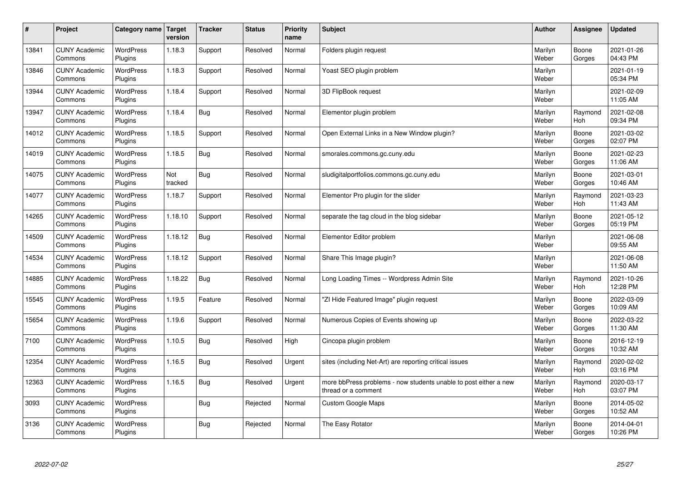| $\sharp$ | Project                         | Category name   Target      | version        | <b>Tracker</b> | <b>Status</b> | <b>Priority</b><br>name | <b>Subject</b>                                                                          | <b>Author</b>    | Assignee              | <b>Updated</b>         |
|----------|---------------------------------|-----------------------------|----------------|----------------|---------------|-------------------------|-----------------------------------------------------------------------------------------|------------------|-----------------------|------------------------|
| 13841    | <b>CUNY Academic</b><br>Commons | <b>WordPress</b><br>Plugins | 1.18.3         | Support        | Resolved      | Normal                  | Folders plugin request                                                                  | Marilyn<br>Weber | Boone<br>Gorges       | 2021-01-26<br>04:43 PM |
| 13846    | <b>CUNY Academic</b><br>Commons | <b>WordPress</b><br>Plugins | 1.18.3         | Support        | Resolved      | Normal                  | Yoast SEO plugin problem                                                                | Marilyn<br>Weber |                       | 2021-01-19<br>05:34 PM |
| 13944    | <b>CUNY Academic</b><br>Commons | <b>WordPress</b><br>Plugins | 1.18.4         | Support        | Resolved      | Normal                  | 3D FlipBook request                                                                     | Marilyn<br>Weber |                       | 2021-02-09<br>11:05 AM |
| 13947    | <b>CUNY Academic</b><br>Commons | <b>WordPress</b><br>Plugins | 1.18.4         | <b>Bug</b>     | Resolved      | Normal                  | Elementor plugin problem                                                                | Marilyn<br>Weber | Raymond<br><b>Hoh</b> | 2021-02-08<br>09:34 PM |
| 14012    | <b>CUNY Academic</b><br>Commons | <b>WordPress</b><br>Plugins | 1.18.5         | Support        | Resolved      | Normal                  | Open External Links in a New Window plugin?                                             | Marilyn<br>Weber | Boone<br>Gorges       | 2021-03-02<br>02:07 PM |
| 14019    | <b>CUNY Academic</b><br>Commons | WordPress<br>Plugins        | 1.18.5         | Bug            | Resolved      | Normal                  | smorales.commons.gc.cuny.edu                                                            | Marilyn<br>Weber | Boone<br>Gorges       | 2021-02-23<br>11:06 AM |
| 14075    | <b>CUNY Academic</b><br>Commons | <b>WordPress</b><br>Plugins | Not<br>tracked | <b>Bug</b>     | Resolved      | Normal                  | sludigitalportfolios.commons.gc.cuny.edu                                                | Marilyn<br>Weber | Boone<br>Gorges       | 2021-03-01<br>10:46 AM |
| 14077    | <b>CUNY Academic</b><br>Commons | <b>WordPress</b><br>Plugins | 1.18.7         | Support        | Resolved      | Normal                  | Elementor Pro plugin for the slider                                                     | Marilyn<br>Weber | Raymond<br>Hoh        | 2021-03-23<br>11:43 AM |
| 14265    | <b>CUNY Academic</b><br>Commons | <b>WordPress</b><br>Plugins | 1.18.10        | Support        | Resolved      | Normal                  | separate the tag cloud in the blog sidebar                                              | Marilyn<br>Weber | Boone<br>Gorges       | 2021-05-12<br>05:19 PM |
| 14509    | <b>CUNY Academic</b><br>Commons | WordPress<br>Plugins        | 1.18.12        | Bug            | Resolved      | Normal                  | Elementor Editor problem                                                                | Marilyn<br>Weber |                       | 2021-06-08<br>09:55 AM |
| 14534    | <b>CUNY Academic</b><br>Commons | WordPress<br>Plugins        | 1.18.12        | Support        | Resolved      | Normal                  | Share This Image plugin?                                                                | Marilyn<br>Weber |                       | 2021-06-08<br>11:50 AM |
| 14885    | <b>CUNY Academic</b><br>Commons | <b>WordPress</b><br>Plugins | 1.18.22        | <b>Bug</b>     | Resolved      | Normal                  | Long Loading Times -- Wordpress Admin Site                                              | Marilyn<br>Weber | Raymond<br>Hoh        | 2021-10-26<br>12:28 PM |
| 15545    | <b>CUNY Academic</b><br>Commons | <b>WordPress</b><br>Plugins | 1.19.5         | Feature        | Resolved      | Normal                  | "ZI Hide Featured Image" plugin request                                                 | Marilyn<br>Weber | Boone<br>Gorges       | 2022-03-09<br>10:09 AM |
| 15654    | <b>CUNY Academic</b><br>Commons | WordPress<br>Plugins        | 1.19.6         | Support        | Resolved      | Normal                  | Numerous Copies of Events showing up                                                    | Marilyn<br>Weber | Boone<br>Gorges       | 2022-03-22<br>11:30 AM |
| 7100     | <b>CUNY Academic</b><br>Commons | <b>WordPress</b><br>Plugins | 1.10.5         | <b>Bug</b>     | Resolved      | High                    | Cincopa plugin problem                                                                  | Marilyn<br>Weber | Boone<br>Gorges       | 2016-12-19<br>10:32 AM |
| 12354    | <b>CUNY Academic</b><br>Commons | <b>WordPress</b><br>Plugins | 1.16.5         | Bug            | Resolved      | Urgent                  | sites (including Net-Art) are reporting critical issues                                 | Marilyn<br>Weber | Raymond<br><b>Hoh</b> | 2020-02-02<br>03:16 PM |
| 12363    | <b>CUNY Academic</b><br>Commons | WordPress<br>Plugins        | 1.16.5         | Bug            | Resolved      | Urgent                  | more bbPress problems - now students unable to post either a new<br>thread or a comment | Marilyn<br>Weber | Raymond<br><b>Hoh</b> | 2020-03-17<br>03:07 PM |
| 3093     | <b>CUNY Academic</b><br>Commons | WordPress<br>Plugins        |                | Bug            | Rejected      | Normal                  | Custom Google Maps                                                                      | Marilyn<br>Weber | Boone<br>Gorges       | 2014-05-02<br>10:52 AM |
| 3136     | <b>CUNY Academic</b><br>Commons | <b>WordPress</b><br>Plugins |                | Bug            | Rejected      | Normal                  | The Easy Rotator                                                                        | Marilyn<br>Weber | Boone<br>Gorges       | 2014-04-01<br>10:26 PM |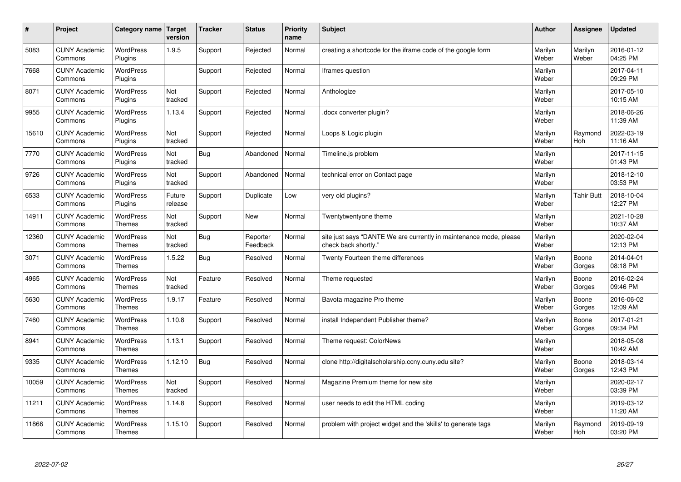| $\sharp$ | Project                         | Category name   Target            | version           | <b>Tracker</b> | <b>Status</b>        | <b>Priority</b><br>name | <b>Subject</b>                                                                             | <b>Author</b>    | Assignee          | <b>Updated</b>         |
|----------|---------------------------------|-----------------------------------|-------------------|----------------|----------------------|-------------------------|--------------------------------------------------------------------------------------------|------------------|-------------------|------------------------|
| 5083     | <b>CUNY Academic</b><br>Commons | <b>WordPress</b><br>Plugins       | 1.9.5             | Support        | Rejected             | Normal                  | creating a shortcode for the iframe code of the google form                                | Marilyn<br>Weber | Marilyn<br>Weber  | 2016-01-12<br>04:25 PM |
| 7668     | <b>CUNY Academic</b><br>Commons | <b>WordPress</b><br>Plugins       |                   | Support        | Rejected             | Normal                  | Iframes question                                                                           | Marilyn<br>Weber |                   | 2017-04-11<br>09:29 PM |
| 8071     | <b>CUNY Academic</b><br>Commons | <b>WordPress</b><br>Plugins       | Not<br>tracked    | Support        | Rejected             | Normal                  | Anthologize                                                                                | Marilyn<br>Weber |                   | 2017-05-10<br>10:15 AM |
| 9955     | <b>CUNY Academic</b><br>Commons | <b>WordPress</b><br>Plugins       | 1.13.4            | Support        | Rejected             | Normal                  | docx converter plugin?                                                                     | Marilyn<br>Weber |                   | 2018-06-26<br>11:39 AM |
| 15610    | <b>CUNY Academic</b><br>Commons | <b>WordPress</b><br>Plugins       | Not<br>tracked    | Support        | Rejected             | Normal                  | Loops & Logic plugin                                                                       | Marilyn<br>Weber | Raymond<br>Hoh    | 2022-03-19<br>11:16 AM |
| 7770     | <b>CUNY Academic</b><br>Commons | WordPress<br>Plugins              | Not<br>tracked    | Bug            | Abandoned            | Normal                  | Timeline.js problem                                                                        | Marilyn<br>Weber |                   | 2017-11-15<br>01:43 PM |
| 9726     | <b>CUNY Academic</b><br>Commons | WordPress<br>Plugins              | Not<br>tracked    | Support        | Abandoned            | Normal                  | technical error on Contact page                                                            | Marilyn<br>Weber |                   | 2018-12-10<br>03:53 PM |
| 6533     | <b>CUNY Academic</b><br>Commons | <b>WordPress</b><br>Plugins       | Future<br>release | Support        | Duplicate            | Low                     | very old plugins?                                                                          | Marilyn<br>Weber | <b>Tahir Butt</b> | 2018-10-04<br>12:27 PM |
| 14911    | <b>CUNY Academic</b><br>Commons | <b>WordPress</b><br><b>Themes</b> | Not<br>tracked    | Support        | New                  | Normal                  | Twentytwentyone theme                                                                      | Marilyn<br>Weber |                   | 2021-10-28<br>10:37 AM |
| 12360    | <b>CUNY Academic</b><br>Commons | WordPress<br><b>Themes</b>        | Not<br>tracked    | Bug            | Reporter<br>Feedback | Normal                  | site just says "DANTE We are currently in maintenance mode, please<br>check back shortly." | Marilyn<br>Weber |                   | 2020-02-04<br>12:13 PM |
| 3071     | <b>CUNY Academic</b><br>Commons | WordPress<br><b>Themes</b>        | 1.5.22            | <b>Bug</b>     | Resolved             | Normal                  | Twenty Fourteen theme differences                                                          | Marilyn<br>Weber | Boone<br>Gorges   | 2014-04-01<br>08:18 PM |
| 4965     | <b>CUNY Academic</b><br>Commons | <b>WordPress</b><br><b>Themes</b> | Not<br>tracked    | Feature        | Resolved             | Normal                  | Theme requested                                                                            | Marilyn<br>Weber | Boone<br>Gorges   | 2016-02-24<br>09:46 PM |
| 5630     | <b>CUNY Academic</b><br>Commons | <b>WordPress</b><br><b>Themes</b> | 1.9.17            | Feature        | Resolved             | Normal                  | Bavota magazine Pro theme                                                                  | Marilyn<br>Weber | Boone<br>Gorges   | 2016-06-02<br>12:09 AM |
| 7460     | <b>CUNY Academic</b><br>Commons | <b>WordPress</b><br><b>Themes</b> | 1.10.8            | Support        | Resolved             | Normal                  | install Independent Publisher theme?                                                       | Marilyn<br>Weber | Boone<br>Gorges   | 2017-01-21<br>09:34 PM |
| 8941     | <b>CUNY Academic</b><br>Commons | <b>WordPress</b><br><b>Themes</b> | 1.13.1            | Support        | Resolved             | Normal                  | Theme request: ColorNews                                                                   | Marilyn<br>Weber |                   | 2018-05-08<br>10:42 AM |
| 9335     | <b>CUNY Academic</b><br>Commons | <b>WordPress</b><br><b>Themes</b> | 1.12.10           | Bug            | Resolved             | Normal                  | clone http://digitalscholarship.ccny.cuny.edu site?                                        | Marilyn<br>Weber | Boone<br>Gorges   | 2018-03-14<br>12:43 PM |
| 10059    | <b>CUNY Academic</b><br>Commons | WordPress<br><b>Themes</b>        | Not<br>tracked    | Support        | Resolved             | Normal                  | Magazine Premium theme for new site                                                        | Marilyn<br>Weber |                   | 2020-02-17<br>03:39 PM |
| 11211    | <b>CUNY Academic</b><br>Commons | WordPress<br><b>Themes</b>        | 1.14.8            | Support        | Resolved             | Normal                  | user needs to edit the HTML coding                                                         | Marilyn<br>Weber |                   | 2019-03-12<br>11:20 AM |
| 11866    | <b>CUNY Academic</b><br>Commons | <b>WordPress</b><br><b>Themes</b> | 1.15.10           | Support        | Resolved             | Normal                  | problem with project widget and the 'skills' to generate tags                              | Marilyn<br>Weber | Raymond<br>Hoh    | 2019-09-19<br>03:20 PM |